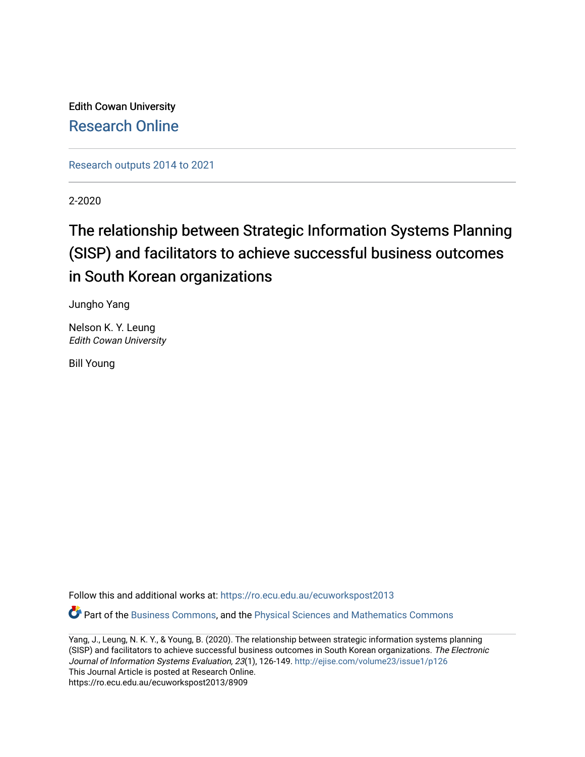Edith Cowan University [Research Online](https://ro.ecu.edu.au/) 

[Research outputs 2014 to 2021](https://ro.ecu.edu.au/ecuworkspost2013) 

2-2020

# The relationship between Strategic Information Systems Planning (SISP) and facilitators to achieve successful business outcomes in South Korean organizations

Jungho Yang

Nelson K. Y. Leung Edith Cowan University

Bill Young

Follow this and additional works at: [https://ro.ecu.edu.au/ecuworkspost2013](https://ro.ecu.edu.au/ecuworkspost2013?utm_source=ro.ecu.edu.au%2Fecuworkspost2013%2F8909&utm_medium=PDF&utm_campaign=PDFCoverPages) 

Part of the [Business Commons](http://network.bepress.com/hgg/discipline/622?utm_source=ro.ecu.edu.au%2Fecuworkspost2013%2F8909&utm_medium=PDF&utm_campaign=PDFCoverPages), and the [Physical Sciences and Mathematics Commons](http://network.bepress.com/hgg/discipline/114?utm_source=ro.ecu.edu.au%2Fecuworkspost2013%2F8909&utm_medium=PDF&utm_campaign=PDFCoverPages) 

Yang, J., Leung, N. K. Y., & Young, B. (2020). The relationship between strategic information systems planning (SISP) and facilitators to achieve successful business outcomes in South Korean organizations. The Electronic Journal of Information Systems Evaluation, 23(1), 126-149. <http://ejise.com/volume23/issue1/p126> This Journal Article is posted at Research Online. https://ro.ecu.edu.au/ecuworkspost2013/8909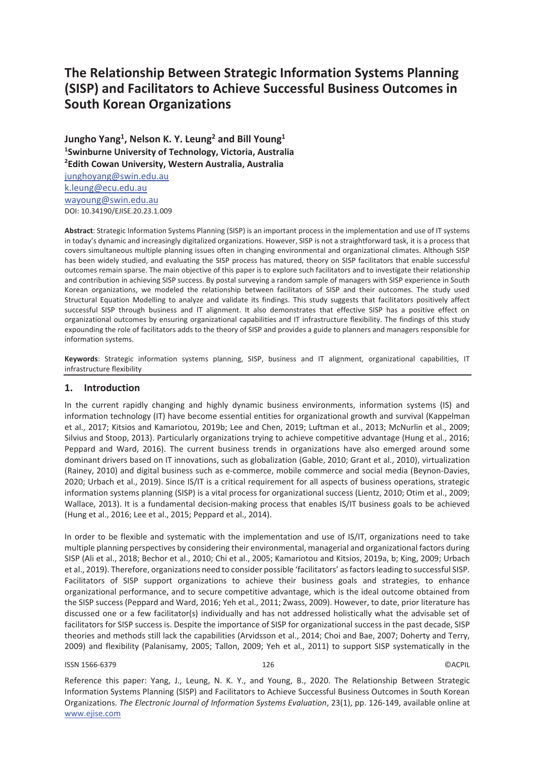# **The Relationship Between Strategic Information Systems Planning (SISP) and Facilitators to Achieve Successful Business Outcomes in South Korean Organizations**

Jungho Yang<sup>1</sup>, Nelson K. Y. Leung<sup>2</sup> and Bill Young<sup>1</sup> **1 Swinburne University of Technology, Victoria, Australia 2 Edith Cowan University, Western Australia, Australia** 

junghoyang@swin.edu.au k.leung@ecu.edu.au wayoung@swin.edu.au DOI: 10.34190/EJISE.20.23.1.009

**Abstract**: Strategic Information Systems Planning (SISP) is an important process in the implementation and use of IT systems in today's dynamic and increasingly digitalized organizations. However, SISP is not a straightforward task, it is a process that covers simultaneous multiple planning issues often in changing environmental and organizational climates. Although SISP has been widely studied, and evaluating the SISP process has matured, theory on SISP facilitators that enable successful outcomes remain sparse. The main objective of this paper is to explore such facilitators and to investigate their relationship and contribution in achieving SISP success. By postal surveying a random sample of managers with SISP experience in South Korean organizations, we modeled the relationship between facilitators of SISP and their outcomes. The study used Structural Equation Modelling to analyze and validate its findings. This study suggests that facilitators positively affect successful SISP through business and IT alignment. It also demonstrates that effective SISP has a positive effect on organizational outcomes by ensuring organizational capabilities and IT infrastructure flexibility. The findings of this study expounding the role of facilitators adds to the theory of SISP and provides a guide to planners and managers responsible for information systems.

**Keywords**: Strategic information systems planning, SISP, business and IT alignment, organizational capabilities, IT infrastructure flexibility

#### **1. Introduction**

In the current rapidly changing and highly dynamic business environments, information systems (IS) and information technology (IT) have become essential entities for organizational growth and survival (Kappelman et al., 2017; Kitsios and Kamariotou, 2019b; Lee and Chen, 2019; Luftman et al., 2013; McNurlin et al., 2009; Silvius and Stoop, 2013). Particularly organizations trying to achieve competitive advantage (Hung et al., 2016; Peppard and Ward, 2016). The current business trends in organizations have also emerged around some dominant drivers based on IT innovations, such as globalization (Gable, 2010; Grant et al., 2010), virtualization (Rainey, 2010) and digital business such as e-commerce, mobile commerce and social media (Beynon-Davies, 2020; Urbach et al., 2019). Since IS/IT is a critical requirement for all aspects of business operations, strategic information systems planning (SISP) is a vital process for organizational success (Lientz, 2010; Otim et al., 2009; Wallace, 2013). It is a fundamental decision-making process that enables IS/IT business goals to be achieved (Hung et al., 2016; Lee et al., 2015; Peppard et al., 2014).

In order to be flexible and systematic with the implementation and use of IS/IT, organizations need to take multiple planning perspectives by considering their environmental, managerial and organizational factors during SISP (Ali et al., 2018; Bechor et al., 2010; Chi et al., 2005; Kamariotou and Kitsios, 2019a, b; King, 2009; Urbach et al., 2019). Therefore, organizations need to consider possible 'facilitators' as factors leading to successful SISP. Facilitators of SISP support organizations to achieve their business goals and strategies, to enhance organizational performance, and to secure competitive advantage, which is the ideal outcome obtained from the SISP success (Peppard and Ward, 2016; Yeh et al., 2011; Zwass, 2009). However, to date, prior literature has discussed one or a few facilitator(s) individually and has not addressed holistically what the advisable set of facilitators for SISP success is. Despite the importance of SISP for organizational success in the past decade, SISP theories and methods still lack the capabilities (Arvidsson et al., 2014; Choi and Bae, 2007; Doherty and Terry, 2009) and flexibility (Palanisamy, 2005; Tallon, 2009; Yeh et al., 2011) to support SISP systematically in the

#### ISSN 1566-6379 126 ©ACPIL

Reference this paper: Yang, J., Leung, N. K. Y., and Young, B., 2020. The Relationship Between Strategic Information Systems Planning (SISP) and Facilitators to Achieve Successful Business Outcomes in South Korean Organizations. *The Electronic Journal of Information Systems Evaluation*, 23(1), pp. 126-149, available online at www.ejise.com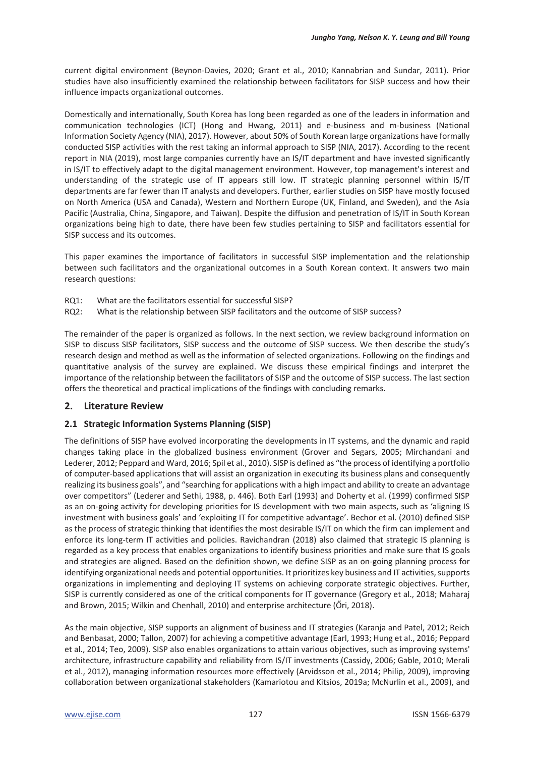current digital environment (Beynon-Davies, 2020; Grant et al., 2010; Kannabrian and Sundar, 2011). Prior studies have also insufficiently examined the relationship between facilitators for SISP success and how their influence impacts organizational outcomes.

Domestically and internationally, South Korea has long been regarded as one of the leaders in information and communication technologies (ICT) (Hong and Hwang, 2011) and e-business and m-business (National Information Society Agency (NIA), 2017). However, about 50% of South Korean large organizations have formally conducted SISP activities with the rest taking an informal approach to SISP (NIA, 2017). According to the recent report in NIA (2019), most large companies currently have an IS/IT department and have invested significantly in IS/IT to effectively adapt to the digital management environment. However, top management's interest and understanding of the strategic use of IT appears still low. IT strategic planning personnel within IS/IT departments are far fewer than IT analysts and developers. Further, earlier studies on SISP have mostly focused on North America (USA and Canada), Western and Northern Europe (UK, Finland, and Sweden), and the Asia Pacific (Australia, China, Singapore, and Taiwan). Despite the diffusion and penetration of IS/IT in South Korean organizations being high to date, there have been few studies pertaining to SISP and facilitators essential for SISP success and its outcomes.

This paper examines the importance of facilitators in successful SISP implementation and the relationship between such facilitators and the organizational outcomes in a South Korean context. It answers two main research questions:

- RQ1: What are the facilitators essential for successful SISP?
- RQ2: What is the relationship between SISP facilitators and the outcome of SISP success?

The remainder of the paper is organized as follows. In the next section, we review background information on SISP to discuss SISP facilitators, SISP success and the outcome of SISP success. We then describe the study's research design and method as well as the information of selected organizations. Following on the findings and quantitative analysis of the survey are explained. We discuss these empirical findings and interpret the importance of the relationship between the facilitators of SISP and the outcome of SISP success. The last section offers the theoretical and practical implications of the findings with concluding remarks.

## **2. Literature Review**

## **2.1 Strategic Information Systems Planning (SISP)**

The definitions of SISP have evolved incorporating the developments in IT systems, and the dynamic and rapid changes taking place in the globalized business environment (Grover and Segars, 2005; Mirchandani and Lederer, 2012; Peppard and Ward, 2016; Spil et al., 2010). SISP is defined as "the process of identifying a portfolio of computer-based applications that will assist an organization in executing its business plans and consequently realizing its business goals", and "searching for applications with a high impact and ability to create an advantage over competitors" (Lederer and Sethi, 1988, p. 446). Both Earl (1993) and Doherty et al. (1999) confirmed SISP as an on-going activity for developing priorities for IS development with two main aspects, such as 'aligning IS investment with business goals' and 'exploiting IT for competitive advantage'. Bechor et al. (2010) defined SISP as the process of strategic thinking that identifies the most desirable IS/IT on which the firm can implement and enforce its long-term IT activities and policies. Ravichandran (2018) also claimed that strategic IS planning is regarded as a key process that enables organizations to identify business priorities and make sure that IS goals and strategies are aligned. Based on the definition shown, we define SISP as an on-going planning process for identifying organizational needs and potential opportunities. It prioritizes key business and IT activities, supports organizations in implementing and deploying IT systems on achieving corporate strategic objectives. Further, SISP is currently considered as one of the critical components for IT governance (Gregory et al., 2018; Maharaj and Brown, 2015; Wilkin and Chenhall, 2010) and enterprise architecture (Őri, 2018).

As the main objective, SISP supports an alignment of business and IT strategies (Karanja and Patel, 2012; Reich and Benbasat, 2000; Tallon, 2007) for achieving a competitive advantage (Earl, 1993; Hung et al., 2016; Peppard et al., 2014; Teo, 2009). SISP also enables organizations to attain various objectives, such as improving systems' architecture, infrastructure capability and reliability from IS/IT investments (Cassidy, 2006; Gable, 2010; Merali et al., 2012), managing information resources more effectively (Arvidsson et al., 2014; Philip, 2009), improving collaboration between organizational stakeholders (Kamariotou and Kitsios, 2019a; McNurlin et al., 2009), and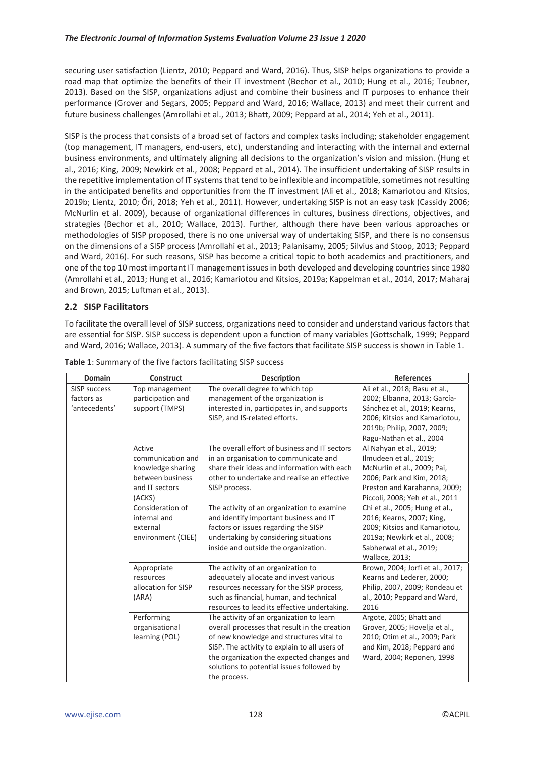securing user satisfaction (Lientz, 2010; Peppard and Ward, 2016). Thus, SISP helps organizations to provide a road map that optimize the benefits of their IT investment (Bechor et al., 2010; Hung et al., 2016; Teubner, 2013). Based on the SISP, organizations adjust and combine their business and IT purposes to enhance their performance (Grover and Segars, 2005; Peppard and Ward, 2016; Wallace, 2013) and meet their current and future business challenges (Amrollahi et al., 2013; Bhatt, 2009; Peppard at al., 2014; Yeh et al., 2011).

SISP is the process that consists of a broad set of factors and complex tasks including; stakeholder engagement (top management, IT managers, end-users, etc), understanding and interacting with the internal and external business environments, and ultimately aligning all decisions to the organization's vision and mission. (Hung et al., 2016; King, 2009; Newkirk et al., 2008; Peppard et al., 2014). The insufficient undertaking of SISP results in the repetitive implementation of IT systems that tend to be inflexible and incompatible, sometimes not resulting in the anticipated benefits and opportunities from the IT investment (Ali et al., 2018; Kamariotou and Kitsios, 2019b; Lientz, 2010; Őri, 2018; Yeh et al., 2011). However, undertaking SISP is not an easy task (Cassidy 2006; McNurlin et al. 2009), because of organizational differences in cultures, business directions, objectives, and strategies (Bechor et al., 2010; Wallace, 2013). Further, although there have been various approaches or methodologies of SISP proposed, there is no one universal way of undertaking SISP, and there is no consensus on the dimensions of a SISP process (Amrollahi et al., 2013; Palanisamy, 2005; Silvius and Stoop, 2013; Peppard and Ward, 2016). For such reasons, SISP has become a critical topic to both academics and practitioners, and one of the top 10 most important IT management issues in both developed and developing countries since 1980 (Amrollahi et al., 2013; Hung et al., 2016; Kamariotou and Kitsios, 2019a; Kappelman et al., 2014, 2017; Maharaj and Brown, 2015; Luftman et al., 2013).

# **2.2 SISP Facilitators**

To facilitate the overall level of SISP success, organizations need to consider and understand various factors that are essential for SISP. SISP success is dependent upon a function of many variables (Gottschalk, 1999; Peppard and Ward, 2016; Wallace, 2013). A summary of the five factors that facilitate SISP success is shown in Table 1.

| Domain              | <b>Construct</b>    | <b>Description</b>                            | <b>References</b>                |
|---------------------|---------------------|-----------------------------------------------|----------------------------------|
| <b>SISP success</b> | Top management      | The overall degree to which top               | Ali et al., 2018; Basu et al.,   |
| factors as          | participation and   | management of the organization is             | 2002; Elbanna, 2013; García-     |
| 'antecedents'       | support (TMPS)      | interested in, participates in, and supports  | Sánchez et al., 2019; Kearns,    |
|                     |                     | SISP, and IS-related efforts.                 | 2006; Kitsios and Kamariotou,    |
|                     |                     |                                               | 2019b; Philip, 2007, 2009;       |
|                     |                     |                                               | Ragu-Nathan et al., 2004         |
|                     | Active              | The overall effort of business and IT sectors | Al Nahyan et al., 2019;          |
|                     | communication and   | in an organisation to communicate and         | Ilmudeen et al., 2019;           |
|                     | knowledge sharing   | share their ideas and information with each   | McNurlin et al., 2009; Pai,      |
|                     | between business    | other to undertake and realise an effective   | 2006; Park and Kim, 2018;        |
|                     | and IT sectors      | SISP process.                                 | Preston and Karahanna, 2009;     |
|                     | (ACKS)              |                                               | Piccoli, 2008; Yeh et al., 2011  |
|                     | Consideration of    | The activity of an organization to examine    | Chi et al., 2005; Hung et al.,   |
|                     | internal and        | and identify important business and IT        | 2016; Kearns, 2007; King,        |
|                     | external            | factors or issues regarding the SISP          | 2009; Kitsios and Kamariotou,    |
|                     | environment (CIEE)  | undertaking by considering situations         | 2019a; Newkirk et al., 2008;     |
|                     |                     | inside and outside the organization.          | Sabherwal et al., 2019;          |
|                     |                     |                                               | Wallace, 2013;                   |
|                     | Appropriate         | The activity of an organization to            | Brown, 2004; Jorfi et al., 2017; |
|                     | resources           | adequately allocate and invest various        | Kearns and Lederer, 2000;        |
|                     | allocation for SISP | resources necessary for the SISP process,     | Philip, 2007, 2009; Rondeau et   |
|                     | (ARA)               | such as financial, human, and technical       | al., 2010; Peppard and Ward,     |
|                     |                     | resources to lead its effective undertaking.  | 2016                             |
|                     | Performing          | The activity of an organization to learn      | Argote, 2005; Bhatt and          |
|                     | organisational      | overall processes that result in the creation | Grover, 2005; Hovelja et al.,    |
|                     | learning (POL)      | of new knowledge and structures vital to      | 2010; Otim et al., 2009; Park    |
|                     |                     | SISP. The activity to explain to all users of | and Kim, 2018; Peppard and       |
|                     |                     | the organization the expected changes and     | Ward, 2004; Reponen, 1998        |
|                     |                     | solutions to potential issues followed by     |                                  |
|                     |                     | the process.                                  |                                  |

**Table 1**: Summary of the five factors facilitating SISP success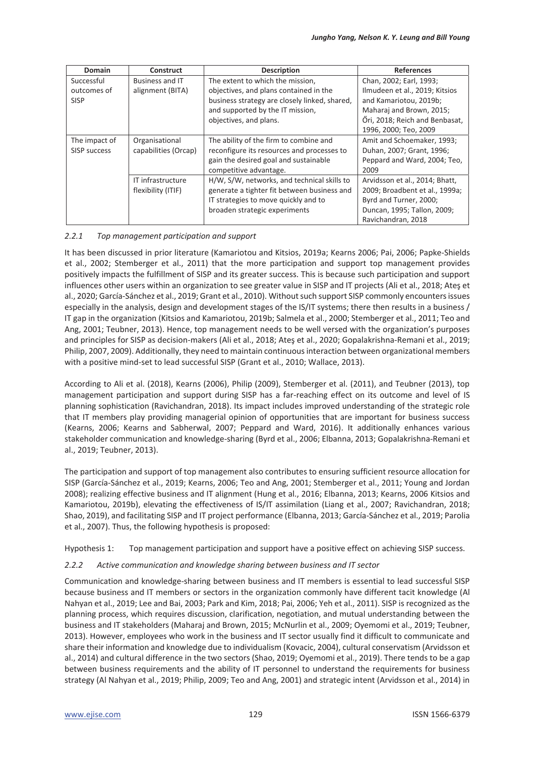| <b>Domain</b> | <b>Construct</b>       | <b>Description</b>                            | <b>References</b>              |
|---------------|------------------------|-----------------------------------------------|--------------------------------|
| Successful    | <b>Business and IT</b> | The extent to which the mission,              | Chan, 2002; Earl, 1993;        |
| outcomes of   | alignment (BITA)       | objectives, and plans contained in the        | Ilmudeen et al., 2019; Kitsios |
| <b>SISP</b>   |                        | business strategy are closely linked, shared, | and Kamariotou, 2019b;         |
|               |                        | and supported by the IT mission,              | Maharaj and Brown, 2015;       |
|               |                        | objectives, and plans.                        | Őri, 2018; Reich and Benbasat, |
|               |                        |                                               | 1996, 2000; Teo, 2009          |
| The impact of | Organisational         | The ability of the firm to combine and        | Amit and Schoemaker, 1993;     |
| SISP success  | capabilities (Orcap)   | reconfigure its resources and processes to    | Duhan, 2007; Grant, 1996;      |
|               |                        | gain the desired goal and sustainable         | Peppard and Ward, 2004; Teo,   |
|               |                        | competitive advantage.                        | 2009                           |
|               | IT infrastructure      | H/W, S/W, networks, and technical skills to   | Arvidsson et al., 2014; Bhatt, |
|               | flexibility (ITIF)     | generate a tighter fit between business and   | 2009; Broadbent et al., 1999a; |
|               |                        | IT strategies to move quickly and to          | Byrd and Turner, 2000;         |
|               |                        | broaden strategic experiments                 | Duncan, 1995; Tallon, 2009;    |
|               |                        |                                               | Ravichandran, 2018             |

#### *2.2.1 Top management participation and support*

It has been discussed in prior literature (Kamariotou and Kitsios, 2019a; Kearns 2006; Pai, 2006; Papke-Shields et al., 2002; Stemberger et al., 2011) that the more participation and support top management provides positively impacts the fulfillment of SISP and its greater success. This is because such participation and support influences other users within an organization to see greater value in SISP and IT projects (Ali et al., 2018; Ateş et al., 2020; García-Sánchez et al., 2019; Grant et al., 2010). Without such support SISP commonly encounters issues especially in the analysis, design and development stages of the IS/IT systems; there then results in a business / IT gap in the organization (Kitsios and Kamariotou, 2019b; Salmela et al., 2000; Stemberger et al., 2011; Teo and Ang, 2001; Teubner, 2013). Hence, top management needs to be well versed with the organization's purposes and principles for SISP as decision-makers (Ali et al., 2018; Ateş et al., 2020; Gopalakrishna-Remani et al., 2019; Philip, 2007, 2009). Additionally, they need to maintain continuous interaction between organizational members with a positive mind-set to lead successful SISP (Grant et al., 2010; Wallace, 2013).

According to Ali et al. (2018), Kearns (2006), Philip (2009), Stemberger et al. (2011), and Teubner (2013), top management participation and support during SISP has a far-reaching effect on its outcome and level of IS planning sophistication (Ravichandran, 2018). Its impact includes improved understanding of the strategic role that IT members play providing managerial opinion of opportunities that are important for business success (Kearns, 2006; Kearns and Sabherwal, 2007; Peppard and Ward, 2016). It additionally enhances various stakeholder communication and knowledge-sharing (Byrd et al., 2006; Elbanna, 2013; Gopalakrishna-Remani et al., 2019; Teubner, 2013).

The participation and support of top management also contributes to ensuring sufficient resource allocation for SISP (García-Sánchez et al., 2019; Kearns, 2006; Teo and Ang, 2001; Stemberger et al., 2011; Young and Jordan 2008); realizing effective business and IT alignment (Hung et al., 2016; Elbanna, 2013; Kearns, 2006 Kitsios and Kamariotou, 2019b), elevating the effectiveness of IS/IT assimilation (Liang et al., 2007; Ravichandran, 2018; Shao, 2019), and facilitating SISP and IT project performance (Elbanna, 2013; García-Sánchez et al., 2019; Parolia et al., 2007). Thus, the following hypothesis is proposed:

Hypothesis 1: Top management participation and support have a positive effect on achieving SISP success.

#### *2.2.2 Active communication and knowledge sharing between business and IT sector*

Communication and knowledge-sharing between business and IT members is essential to lead successful SISP because business and IT members or sectors in the organization commonly have different tacit knowledge (Al Nahyan et al., 2019; Lee and Bai, 2003; Park and Kim, 2018; Pai, 2006; Yeh et al., 2011). SISP is recognized as the planning process, which requires discussion, clarification, negotiation, and mutual understanding between the business and IT stakeholders (Maharaj and Brown, 2015; McNurlin et al., 2009; Oyemomi et al., 2019; Teubner, 2013). However, employees who work in the business and IT sector usually find it difficult to communicate and share their information and knowledge due to individualism (Kovacic, 2004), cultural conservatism (Arvidsson et al., 2014) and cultural difference in the two sectors (Shao, 2019; Oyemomi et al., 2019). There tends to be a gap between business requirements and the ability of IT personnel to understand the requirements for business strategy (Al Nahyan et al., 2019; Philip, 2009; Teo and Ang, 2001) and strategic intent (Arvidsson et al., 2014) in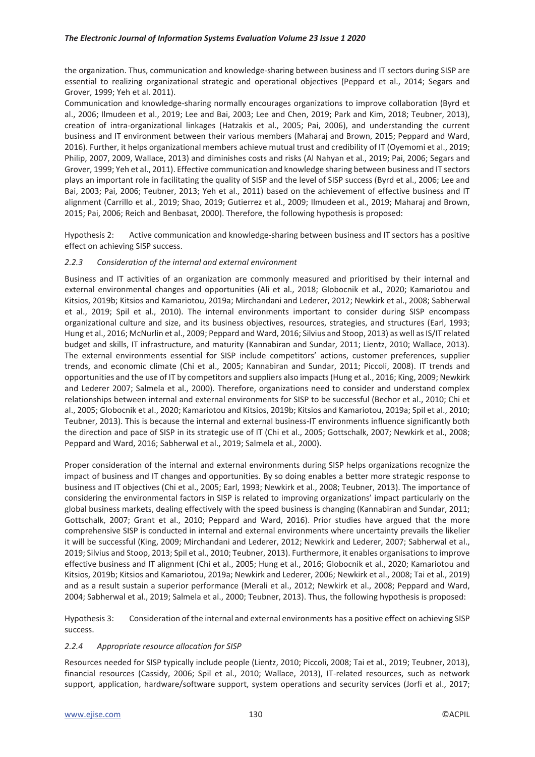the organization. Thus, communication and knowledge-sharing between business and IT sectors during SISP are essential to realizing organizational strategic and operational objectives (Peppard et al., 2014; Segars and Grover, 1999; Yeh et al. 2011).

Communication and knowledge-sharing normally encourages organizations to improve collaboration (Byrd et al., 2006; Ilmudeen et al., 2019; Lee and Bai, 2003; Lee and Chen, 2019; Park and Kim, 2018; Teubner, 2013), creation of intra-organizational linkages (Hatzakis et al., 2005; Pai, 2006), and understanding the current business and IT environment between their various members (Maharaj and Brown, 2015; Peppard and Ward, 2016). Further, it helps organizational members achieve mutual trust and credibility of IT (Oyemomi et al., 2019; Philip, 2007, 2009, Wallace, 2013) and diminishes costs and risks (Al Nahyan et al., 2019; Pai, 2006; Segars and Grover, 1999; Yeh et al., 2011). Effective communication and knowledge sharing between business and IT sectors plays an important role in facilitating the quality of SISP and the level of SISP success (Byrd et al., 2006; Lee and Bai, 2003; Pai, 2006; Teubner, 2013; Yeh et al., 2011) based on the achievement of effective business and IT alignment (Carrillo et al., 2019; Shao, 2019; Gutierrez et al., 2009; Ilmudeen et al., 2019; Maharaj and Brown, 2015; Pai, 2006; Reich and Benbasat, 2000). Therefore, the following hypothesis is proposed:

Hypothesis 2: Active communication and knowledge-sharing between business and IT sectors has a positive effect on achieving SISP success.

#### *2.2.3 Consideration of the internal and external environment*

Business and IT activities of an organization are commonly measured and prioritised by their internal and external environmental changes and opportunities (Ali et al., 2018; Globocnik et al., 2020; Kamariotou and Kitsios, 2019b; Kitsios and Kamariotou, 2019a; Mirchandani and Lederer, 2012; Newkirk et al., 2008; Sabherwal et al., 2019; Spil et al., 2010). The internal environments important to consider during SISP encompass organizational culture and size, and its business objectives, resources, strategies, and structures (Earl, 1993; Hung et al., 2016; McNurlin et al., 2009; Peppard and Ward, 2016; Silvius and Stoop, 2013) as well as IS/IT related budget and skills, IT infrastructure, and maturity (Kannabiran and Sundar, 2011; Lientz, 2010; Wallace, 2013). The external environments essential for SISP include competitors' actions, customer preferences, supplier trends, and economic climate (Chi et al., 2005; Kannabiran and Sundar, 2011; Piccoli, 2008). IT trends and opportunities and the use of IT by competitors and suppliers also impacts (Hung et al., 2016; King, 2009; Newkirk and Lederer 2007; Salmela et al., 2000). Therefore, organizations need to consider and understand complex relationships between internal and external environments for SISP to be successful (Bechor et al., 2010; Chi et al., 2005; Globocnik et al., 2020; Kamariotou and Kitsios, 2019b; Kitsios and Kamariotou, 2019a; Spil et al., 2010; Teubner, 2013). This is because the internal and external business-IT environments influence significantly both the direction and pace of SISP in its strategic use of IT (Chi et al., 2005; Gottschalk, 2007; Newkirk et al., 2008; Peppard and Ward, 2016; Sabherwal et al., 2019; Salmela et al., 2000).

Proper consideration of the internal and external environments during SISP helps organizations recognize the impact of business and IT changes and opportunities. By so doing enables a better more strategic response to business and IT objectives (Chi et al., 2005; Earl, 1993; Newkirk et al., 2008; Teubner, 2013). The importance of considering the environmental factors in SISP is related to improving organizations' impact particularly on the global business markets, dealing effectively with the speed business is changing (Kannabiran and Sundar, 2011; Gottschalk, 2007; Grant et al., 2010; Peppard and Ward, 2016). Prior studies have argued that the more comprehensive SISP is conducted in internal and external environments where uncertainty prevails the likelier it will be successful (King, 2009; Mirchandani and Lederer, 2012; Newkirk and Lederer, 2007; Sabherwal et al., 2019; Silvius and Stoop, 2013; Spil et al., 2010; Teubner, 2013). Furthermore, it enables organisations to improve effective business and IT alignment (Chi et al., 2005; Hung et al., 2016; Globocnik et al., 2020; Kamariotou and Kitsios, 2019b; Kitsios and Kamariotou, 2019a; Newkirk and Lederer, 2006; Newkirk et al., 2008; Tai et al., 2019) and as a result sustain a superior performance (Merali et al., 2012; Newkirk et al., 2008; Peppard and Ward, 2004; Sabherwal et al., 2019; Salmela et al., 2000; Teubner, 2013). Thus, the following hypothesis is proposed:

Hypothesis 3: Consideration of the internal and external environments has a positive effect on achieving SISP success.

#### *2.2.4 Appropriate resource allocation for SISP*

Resources needed for SISP typically include people (Lientz, 2010; Piccoli, 2008; Tai et al., 2019; Teubner, 2013), financial resources (Cassidy, 2006; Spil et al., 2010; Wallace, 2013), IT-related resources, such as network support, application, hardware/software support, system operations and security services (Jorfi et al., 2017;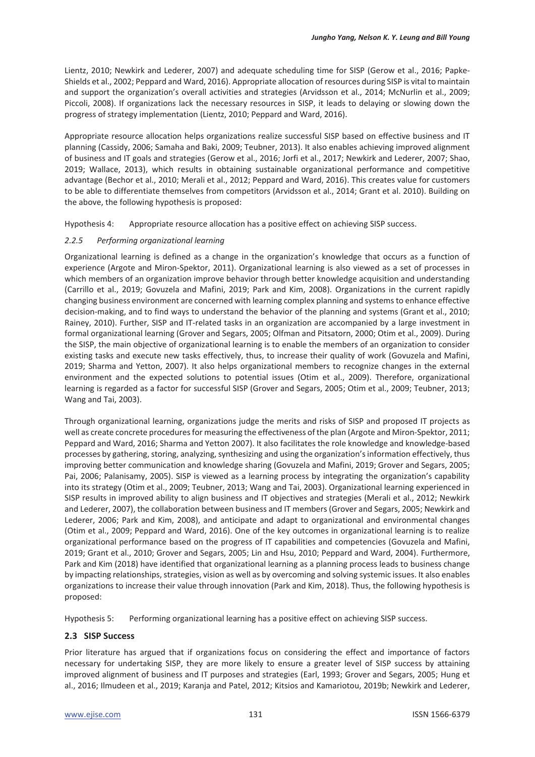Lientz, 2010; Newkirk and Lederer, 2007) and adequate scheduling time for SISP (Gerow et al., 2016; Papke-Shields et al., 2002; Peppard and Ward, 2016). Appropriate allocation of resources during SISP is vital to maintain and support the organization's overall activities and strategies (Arvidsson et al., 2014; McNurlin et al., 2009; Piccoli, 2008). If organizations lack the necessary resources in SISP, it leads to delaying or slowing down the progress of strategy implementation (Lientz, 2010; Peppard and Ward, 2016).

Appropriate resource allocation helps organizations realize successful SISP based on effective business and IT planning (Cassidy, 2006; Samaha and Baki, 2009; Teubner, 2013). It also enables achieving improved alignment of business and IT goals and strategies (Gerow et al., 2016; Jorfi et al., 2017; Newkirk and Lederer, 2007; Shao, 2019; Wallace, 2013), which results in obtaining sustainable organizational performance and competitive advantage (Bechor et al., 2010; Merali et al., 2012; Peppard and Ward, 2016). This creates value for customers to be able to differentiate themselves from competitors (Arvidsson et al., 2014; Grant et al. 2010). Building on the above, the following hypothesis is proposed:

Hypothesis 4: Appropriate resource allocation has a positive effect on achieving SISP success.

#### *2.2.5 Performing organizational learning*

Organizational learning is defined as a change in the organization's knowledge that occurs as a function of experience (Argote and Miron-Spektor, 2011). Organizational learning is also viewed as a set of processes in which members of an organization improve behavior through better knowledge acquisition and understanding (Carrillo et al., 2019; Govuzela and Mafini, 2019; Park and Kim, 2008). Organizations in the current rapidly changing business environment are concerned with learning complex planning and systems to enhance effective decision-making, and to find ways to understand the behavior of the planning and systems (Grant et al., 2010; Rainey, 2010). Further, SISP and IT-related tasks in an organization are accompanied by a large investment in formal organizational learning (Grover and Segars, 2005; Olfman and Pitsatorn, 2000; Otim et al., 2009). During the SISP, the main objective of organizational learning is to enable the members of an organization to consider existing tasks and execute new tasks effectively, thus, to increase their quality of work (Govuzela and Mafini, 2019; Sharma and Yetton, 2007). It also helps organizational members to recognize changes in the external environment and the expected solutions to potential issues (Otim et al., 2009). Therefore, organizational learning is regarded as a factor for successful SISP (Grover and Segars, 2005; Otim et al., 2009; Teubner, 2013; Wang and Tai, 2003).

Through organizational learning, organizations judge the merits and risks of SISP and proposed IT projects as well as create concrete procedures for measuring the effectiveness of the plan (Argote and Miron-Spektor, 2011; Peppard and Ward, 2016; Sharma and Yetton 2007). It also facilitates the role knowledge and knowledge-based processes by gathering, storing, analyzing, synthesizing and using the organization's information effectively, thus improving better communication and knowledge sharing (Govuzela and Mafini, 2019; Grover and Segars, 2005; Pai, 2006; Palanisamy, 2005). SISP is viewed as a learning process by integrating the organization's capability into its strategy (Otim et al., 2009; Teubner, 2013; Wang and Tai, 2003). Organizational learning experienced in SISP results in improved ability to align business and IT objectives and strategies (Merali et al., 2012; Newkirk and Lederer, 2007), the collaboration between business and IT members (Grover and Segars, 2005; Newkirk and Lederer, 2006; Park and Kim, 2008), and anticipate and adapt to organizational and environmental changes (Otim et al., 2009; Peppard and Ward, 2016). One of the key outcomes in organizational learning is to realize organizational performance based on the progress of IT capabilities and competencies (Govuzela and Mafini, 2019; Grant et al., 2010; Grover and Segars, 2005; Lin and Hsu, 2010; Peppard and Ward, 2004). Furthermore, Park and Kim (2018) have identified that organizational learning as a planning process leads to business change by impacting relationships, strategies, vision as well as by overcoming and solving systemic issues. It also enables organizations to increase their value through innovation (Park and Kim, 2018). Thus, the following hypothesis is proposed:

Hypothesis 5: Performing organizational learning has a positive effect on achieving SISP success.

## **2.3 SISP Success**

Prior literature has argued that if organizations focus on considering the effect and importance of factors necessary for undertaking SISP, they are more likely to ensure a greater level of SISP success by attaining improved alignment of business and IT purposes and strategies (Earl, 1993; Grover and Segars, 2005; Hung et al., 2016; Ilmudeen et al., 2019; Karanja and Patel, 2012; Kitsios and Kamariotou, 2019b; Newkirk and Lederer,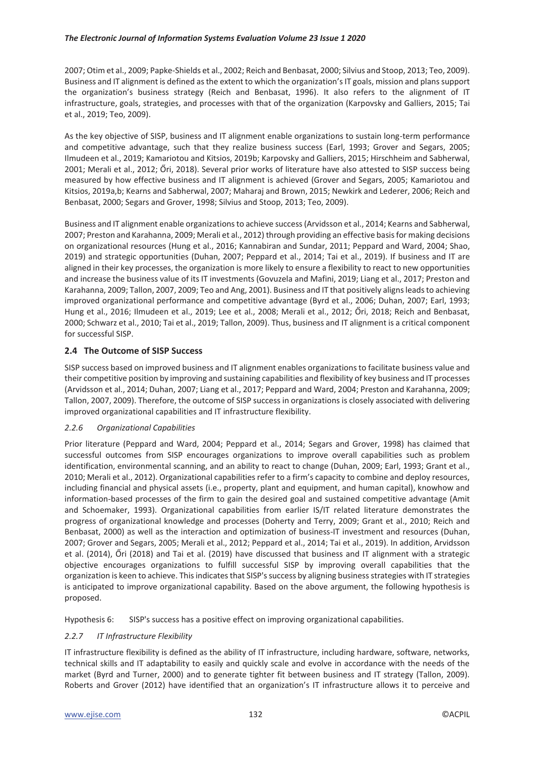2007; Otim et al., 2009; Papke-Shields et al., 2002; Reich and Benbasat, 2000; Silvius and Stoop, 2013; Teo, 2009). Business and IT alignment is defined as the extent to which the organization's IT goals, mission and plans support the organization's business strategy (Reich and Benbasat, 1996). It also refers to the alignment of IT infrastructure, goals, strategies, and processes with that of the organization (Karpovsky and Galliers, 2015; Tai et al., 2019; Teo, 2009).

As the key objective of SISP, business and IT alignment enable organizations to sustain long-term performance and competitive advantage, such that they realize business success (Earl, 1993; Grover and Segars, 2005; Ilmudeen et al., 2019; Kamariotou and Kitsios, 2019b; Karpovsky and Galliers, 2015; Hirschheim and Sabherwal, 2001; Merali et al., 2012; Őri, 2018). Several prior works of literature have also attested to SISP success being measured by how effective business and IT alignment is achieved (Grover and Segars, 2005; Kamariotou and Kitsios, 2019a,b; Kearns and Sabherwal, 2007; Maharaj and Brown, 2015; Newkirk and Lederer, 2006; Reich and Benbasat, 2000; Segars and Grover, 1998; Silvius and Stoop, 2013; Teo, 2009).

Business and IT alignment enable organizations to achieve success (Arvidsson et al., 2014; Kearns and Sabherwal, 2007; Preston and Karahanna, 2009; Merali et al., 2012) through providing an effective basis for making decisions on organizational resources (Hung et al., 2016; Kannabiran and Sundar, 2011; Peppard and Ward, 2004; Shao, 2019) and strategic opportunities (Duhan, 2007; Peppard et al., 2014; Tai et al., 2019). If business and IT are aligned in their key processes, the organization is more likely to ensure a flexibility to react to new opportunities and increase the business value of its IT investments (Govuzela and Mafini, 2019; Liang et al., 2017; Preston and Karahanna, 2009; Tallon, 2007, 2009; Teo and Ang, 2001). Business and IT that positively aligns leads to achieving improved organizational performance and competitive advantage (Byrd et al., 2006; Duhan, 2007; Earl, 1993; Hung et al., 2016; Ilmudeen et al., 2019; Lee et al., 2008; Merali et al., 2012; Őri, 2018; Reich and Benbasat, 2000; Schwarz et al., 2010; Tai et al., 2019; Tallon, 2009). Thus, business and IT alignment is a critical component for successful SISP.

# **2.4 The Outcome of SISP Success**

SISP success based on improved business and IT alignment enables organizations to facilitate business value and their competitive position by improving and sustaining capabilities and flexibility of key business and IT processes (Arvidsson et al., 2014; Duhan, 2007; Liang et al., 2017; Peppard and Ward, 2004; Preston and Karahanna, 2009; Tallon, 2007, 2009). Therefore, the outcome of SISP success in organizations is closely associated with delivering improved organizational capabilities and IT infrastructure flexibility.

## *2.2.6 Organizational Capabilities*

Prior literature (Peppard and Ward, 2004; Peppard et al., 2014; Segars and Grover, 1998) has claimed that successful outcomes from SISP encourages organizations to improve overall capabilities such as problem identification, environmental scanning, and an ability to react to change (Duhan, 2009; Earl, 1993; Grant et al., 2010; Merali et al., 2012). Organizational capabilities refer to a firm's capacity to combine and deploy resources, including financial and physical assets (i.e., property, plant and equipment, and human capital), knowhow and information-based processes of the firm to gain the desired goal and sustained competitive advantage (Amit and Schoemaker, 1993). Organizational capabilities from earlier IS/IT related literature demonstrates the progress of organizational knowledge and processes (Doherty and Terry, 2009; Grant et al., 2010; Reich and Benbasat, 2000) as well as the interaction and optimization of business-IT investment and resources (Duhan, 2007; Grover and Segars, 2005; Merali et al., 2012; Peppard et al., 2014; Tai et al., 2019). In addition, Arvidsson et al. (2014), Őri (2018) and Tai et al. (2019) have discussed that business and IT alignment with a strategic objective encourages organizations to fulfill successful SISP by improving overall capabilities that the organization is keen to achieve. This indicates that SISP's success by aligning business strategies with IT strategies is anticipated to improve organizational capability. Based on the above argument, the following hypothesis is proposed.

Hypothesis 6: SISP's success has a positive effect on improving organizational capabilities.

## *2.2.7 IT Infrastructure Flexibility*

IT infrastructure flexibility is defined as the ability of IT infrastructure, including hardware, software, networks, technical skills and IT adaptability to easily and quickly scale and evolve in accordance with the needs of the market (Byrd and Turner, 2000) and to generate tighter fit between business and IT strategy (Tallon, 2009). Roberts and Grover (2012) have identified that an organization's IT infrastructure allows it to perceive and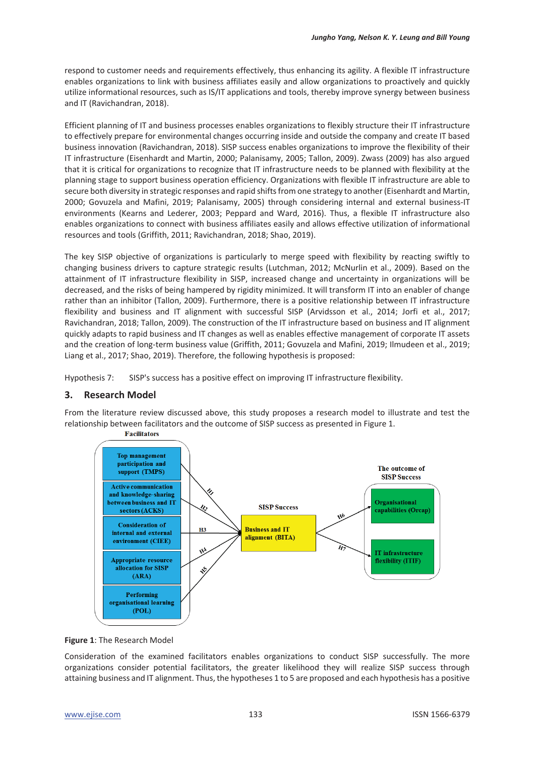respond to customer needs and requirements effectively, thus enhancing its agility. A flexible IT infrastructure enables organizations to link with business affiliates easily and allow organizations to proactively and quickly utilize informational resources, such as IS/IT applications and tools, thereby improve synergy between business and IT (Ravichandran, 2018).

Efficient planning of IT and business processes enables organizations to flexibly structure their IT infrastructure to effectively prepare for environmental changes occurring inside and outside the company and create IT based business innovation (Ravichandran, 2018). SISP success enables organizations to improve the flexibility of their IT infrastructure (Eisenhardt and Martin, 2000; Palanisamy, 2005; Tallon, 2009). Zwass (2009) has also argued that it is critical for organizations to recognize that IT infrastructure needs to be planned with flexibility at the planning stage to support business operation efficiency. Organizations with flexible IT infrastructure are able to secure both diversity in strategic responses and rapid shifts from one strategy to another (Eisenhardt and Martin, 2000; Govuzela and Mafini, 2019; Palanisamy, 2005) through considering internal and external business-IT environments (Kearns and Lederer, 2003; Peppard and Ward, 2016). Thus, a flexible IT infrastructure also enables organizations to connect with business affiliates easily and allows effective utilization of informational resources and tools (Griffith, 2011; Ravichandran, 2018; Shao, 2019).

The key SISP objective of organizations is particularly to merge speed with flexibility by reacting swiftly to changing business drivers to capture strategic results (Lutchman, 2012; McNurlin et al., 2009). Based on the attainment of IT infrastructure flexibility in SISP, increased change and uncertainty in organizations will be decreased, and the risks of being hampered by rigidity minimized. It will transform IT into an enabler of change rather than an inhibitor (Tallon, 2009). Furthermore, there is a positive relationship between IT infrastructure flexibility and business and IT alignment with successful SISP (Arvidsson et al., 2014; Jorfi et al., 2017; Ravichandran, 2018; Tallon, 2009). The construction of the IT infrastructure based on business and IT alignment quickly adapts to rapid business and IT changes as well as enables effective management of corporate IT assets and the creation of long-term business value (Griffith, 2011; Govuzela and Mafini, 2019; Ilmudeen et al., 2019; Liang et al., 2017; Shao, 2019). Therefore, the following hypothesis is proposed:

Hypothesis 7: SISP's success has a positive effect on improving IT infrastructure flexibility.

# **3. Research Model**

From the literature review discussed above, this study proposes a research model to illustrate and test the relationship between facilitators and the outcome of SISP success as presented in Figure 1.



**Figure 1**: The Research Model

Consideration of the examined facilitators enables organizations to conduct SISP successfully. The more organizations consider potential facilitators, the greater likelihood they will realize SISP success through attaining business and IT alignment. Thus, the hypotheses 1 to 5 are proposed and each hypothesis has a positive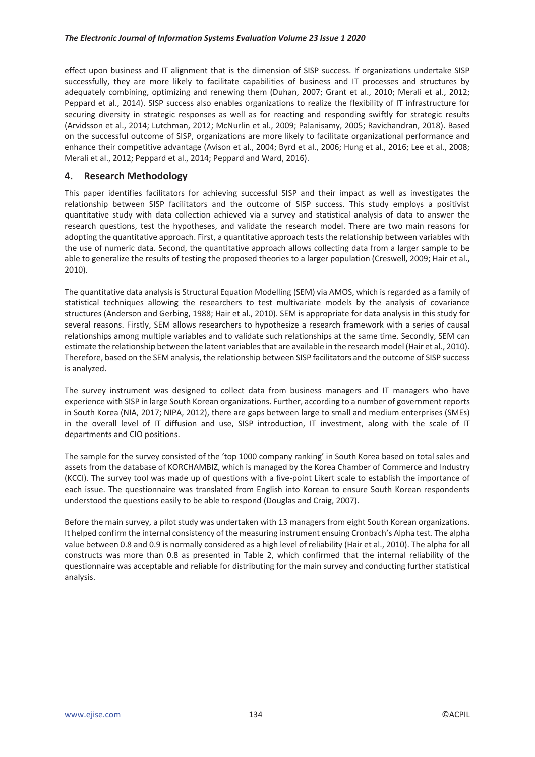effect upon business and IT alignment that is the dimension of SISP success. If organizations undertake SISP successfully, they are more likely to facilitate capabilities of business and IT processes and structures by adequately combining, optimizing and renewing them (Duhan, 2007; Grant et al., 2010; Merali et al., 2012; Peppard et al., 2014). SISP success also enables organizations to realize the flexibility of IT infrastructure for securing diversity in strategic responses as well as for reacting and responding swiftly for strategic results (Arvidsson et al., 2014; Lutchman, 2012; McNurlin et al., 2009; Palanisamy, 2005; Ravichandran, 2018). Based on the successful outcome of SISP, organizations are more likely to facilitate organizational performance and enhance their competitive advantage (Avison et al., 2004; Byrd et al., 2006; Hung et al., 2016; Lee et al., 2008; Merali et al., 2012; Peppard et al., 2014; Peppard and Ward, 2016).

# **4. Research Methodology**

This paper identifies facilitators for achieving successful SISP and their impact as well as investigates the relationship between SISP facilitators and the outcome of SISP success. This study employs a positivist quantitative study with data collection achieved via a survey and statistical analysis of data to answer the research questions, test the hypotheses, and validate the research model. There are two main reasons for adopting the quantitative approach. First, a quantitative approach tests the relationship between variables with the use of numeric data. Second, the quantitative approach allows collecting data from a larger sample to be able to generalize the results of testing the proposed theories to a larger population (Creswell, 2009; Hair et al., 2010).

The quantitative data analysis is Structural Equation Modelling (SEM) via AMOS, which is regarded as a family of statistical techniques allowing the researchers to test multivariate models by the analysis of covariance structures (Anderson and Gerbing, 1988; Hair et al., 2010). SEM is appropriate for data analysis in this study for several reasons. Firstly, SEM allows researchers to hypothesize a research framework with a series of causal relationships among multiple variables and to validate such relationships at the same time. Secondly, SEM can estimate the relationship between the latent variables that are available in the research model (Hair et al., 2010). Therefore, based on the SEM analysis, the relationship between SISP facilitators and the outcome of SISP success is analyzed.

The survey instrument was designed to collect data from business managers and IT managers who have experience with SISP in large South Korean organizations. Further, according to a number of government reports in South Korea (NIA, 2017; NIPA, 2012), there are gaps between large to small and medium enterprises (SMEs) in the overall level of IT diffusion and use, SISP introduction, IT investment, along with the scale of IT departments and CIO positions.

The sample for the survey consisted of the 'top 1000 company ranking' in South Korea based on total sales and assets from the database of KORCHAMBIZ, which is managed by the Korea Chamber of Commerce and Industry (KCCI). The survey tool was made up of questions with a five-point Likert scale to establish the importance of each issue. The questionnaire was translated from English into Korean to ensure South Korean respondents understood the questions easily to be able to respond (Douglas and Craig, 2007).

Before the main survey, a pilot study was undertaken with 13 managers from eight South Korean organizations. It helped confirm the internal consistency of the measuring instrument ensuing Cronbach's Alpha test. The alpha value between 0.8 and 0.9 is normally considered as a high level of reliability (Hair et al., 2010). The alpha for all constructs was more than 0.8 as presented in Table 2, which confirmed that the internal reliability of the questionnaire was acceptable and reliable for distributing for the main survey and conducting further statistical analysis.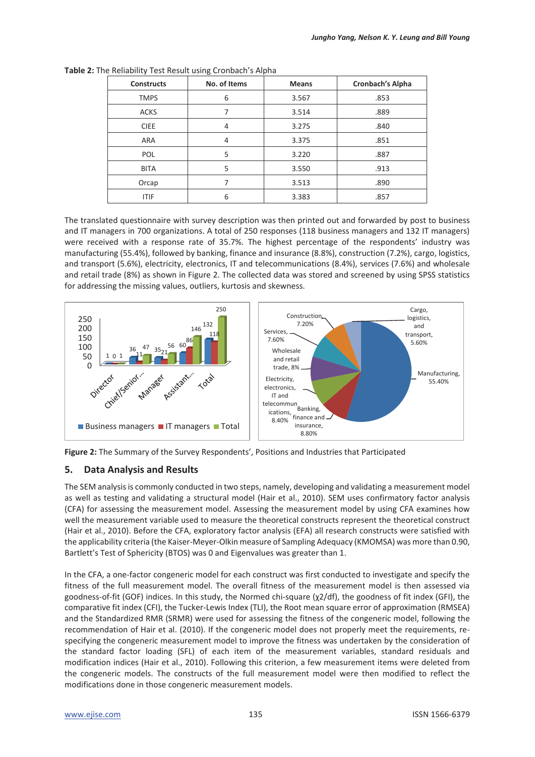| <b>Constructs</b> | No. of Items | <b>Means</b> | <b>Cronbach's Alpha</b> |
|-------------------|--------------|--------------|-------------------------|
| <b>TMPS</b>       | 6            | 3.567        | .853                    |
| <b>ACKS</b>       | 7            | 3.514        | .889                    |
| <b>CIEE</b>       | 4            | 3.275        | .840                    |
| ARA               | 4            | 3.375        | .851                    |
| <b>POL</b>        | 5            | 3.220        | .887                    |
| <b>BITA</b>       | 5            | 3.550        | .913                    |
| Orcap             |              | 3.513        | .890                    |
| <b>ITIF</b>       | 6            | 3.383        | .857                    |

**Table 2:** The Reliability Test Result using Cronbach's Alpha

The translated questionnaire with survey description was then printed out and forwarded by post to business and IT managers in 700 organizations. A total of 250 responses (118 business managers and 132 IT managers) were received with a response rate of 35.7%. The highest percentage of the respondents' industry was manufacturing (55.4%), followed by banking, finance and insurance (8.8%), construction (7.2%), cargo, logistics, and transport (5.6%), electricity, electronics, IT and telecommunications (8.4%), services (7.6%) and wholesale and retail trade (8%) as shown in Figure 2. The collected data was stored and screened by using SPSS statistics for addressing the missing values, outliers, kurtosis and skewness.



**Figure 2:** The Summary of the Survey Respondents', Positions and Industries that Participated

# **5. Data Analysis and Results**

The SEM analysis is commonly conducted in two steps, namely, developing and validating a measurement model as well as testing and validating a structural model (Hair et al., 2010). SEM uses confirmatory factor analysis (CFA) for assessing the measurement model. Assessing the measurement model by using CFA examines how well the measurement variable used to measure the theoretical constructs represent the theoretical construct (Hair et al., 2010). Before the CFA, exploratory factor analysis (EFA) all research constructs were satisfied with the applicability criteria (the Kaiser-Meyer-Olkin measure of Sampling Adequacy (KMOMSA) was more than 0.90, Bartlett's Test of Sphericity (BTOS) was 0 and Eigenvalues was greater than 1.

In the CFA, a one-factor congeneric model for each construct was first conducted to investigate and specify the fitness of the full measurement model. The overall fitness of the measurement model is then assessed via goodness-of-fit (GOF) indices. In this study, the Normed chi-square (χ2/df), the goodness of fit index (GFI), the comparative fit index (CFI), the Tucker-Lewis Index (TLI), the Root mean square error of approximation (RMSEA) and the Standardized RMR (SRMR) were used for assessing the fitness of the congeneric model, following the recommendation of Hair et al. (2010). If the congeneric model does not properly meet the requirements, respecifying the congeneric measurement model to improve the fitness was undertaken by the consideration of the standard factor loading (SFL) of each item of the measurement variables, standard residuals and modification indices (Hair et al., 2010). Following this criterion, a few measurement items were deleted from the congeneric models. The constructs of the full measurement model were then modified to reflect the modifications done in those congeneric measurement models.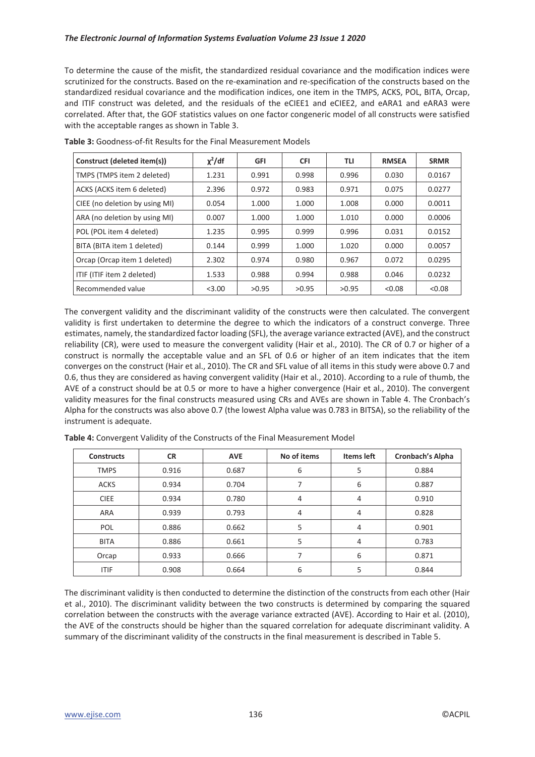To determine the cause of the misfit, the standardized residual covariance and the modification indices were scrutinized for the constructs. Based on the re-examination and re-specification of the constructs based on the standardized residual covariance and the modification indices, one item in the TMPS, ACKS, POL, BITA, Orcap, and ITIF construct was deleted, and the residuals of the eCIEE1 and eCIEE2, and eARA1 and eARA3 were correlated. After that, the GOF statistics values on one factor congeneric model of all constructs were satisfied with the acceptable ranges as shown in Table 3.

| Construct (deleted item(s))    | $\chi^2$ /df | <b>GFI</b> | <b>CFI</b> | TLI   | <b>RMSEA</b> | <b>SRMR</b> |
|--------------------------------|--------------|------------|------------|-------|--------------|-------------|
| TMPS (TMPS item 2 deleted)     | 1.231        | 0.991      | 0.998      | 0.996 | 0.030        | 0.0167      |
| ACKS (ACKS item 6 deleted)     | 2.396        | 0.972      | 0.983      | 0.971 | 0.075        | 0.0277      |
| CIEE (no deletion by using MI) | 0.054        | 1.000      | 1.000      | 1.008 | 0.000        | 0.0011      |
| ARA (no deletion by using MI)  | 0.007        | 1.000      | 1.000      | 1.010 | 0.000        | 0.0006      |
| POL (POL item 4 deleted)       | 1.235        | 0.995      | 0.999      | 0.996 | 0.031        | 0.0152      |
| BITA (BITA item 1 deleted)     | 0.144        | 0.999      | 1.000      | 1.020 | 0.000        | 0.0057      |
| Orcap (Orcap item 1 deleted)   | 2.302        | 0.974      | 0.980      | 0.967 | 0.072        | 0.0295      |
| ITIF (ITIF item 2 deleted)     | 1.533        | 0.988      | 0.994      | 0.988 | 0.046        | 0.0232      |
| Recommended value              | < 3.00       | >0.95      | >0.95      | >0.95 | < 0.08       | < 0.08      |

**Table 3:** Goodness-of-fit Results for the Final Measurement Models

The convergent validity and the discriminant validity of the constructs were then calculated. The convergent validity is first undertaken to determine the degree to which the indicators of a construct converge. Three estimates, namely, the standardized factor loading (SFL), the average variance extracted (AVE), and the construct reliability (CR), were used to measure the convergent validity (Hair et al., 2010). The CR of 0.7 or higher of a construct is normally the acceptable value and an SFL of 0.6 or higher of an item indicates that the item converges on the construct (Hair et al., 2010). The CR and SFL value of all items in this study were above 0.7 and 0.6, thus they are considered as having convergent validity (Hair et al., 2010). According to a rule of thumb, the AVE of a construct should be at 0.5 or more to have a higher convergence (Hair et al., 2010). The convergent validity measures for the final constructs measured using CRs and AVEs are shown in Table 4. The Cronbach's Alpha for the constructs was also above 0.7 (the lowest Alpha value was 0.783 in BITSA), so the reliability of the instrument is adequate.

| <b>Constructs</b> | <b>CR</b> | <b>AVE</b> | No of items | <b>Items left</b> | Cronbach's Alpha |
|-------------------|-----------|------------|-------------|-------------------|------------------|
| <b>TMPS</b>       | 0.916     | 0.687      | 6           | 5                 | 0.884            |
| <b>ACKS</b>       | 0.934     | 0.704      | ⇁           | 6                 | 0.887            |
| <b>CIEE</b>       | 0.934     | 0.780      | 4           | 4                 | 0.910            |
| ARA               | 0.939     | 0.793      | 4           | 4                 | 0.828            |
| POL               | 0.886     | 0.662      | 5           | 4                 | 0.901            |
| <b>BITA</b>       | 0.886     | 0.661      | 5           | 4                 | 0.783            |
| Orcap             | 0.933     | 0.666      |             | 6                 | 0.871            |
| ITIF              | 0.908     | 0.664      | 6           | 5                 | 0.844            |

**Table 4:** Convergent Validity of the Constructs of the Final Measurement Model

The discriminant validity is then conducted to determine the distinction of the constructs from each other (Hair et al., 2010). The discriminant validity between the two constructs is determined by comparing the squared correlation between the constructs with the average variance extracted (AVE). According to Hair et al. (2010), the AVE of the constructs should be higher than the squared correlation for adequate discriminant validity. A summary of the discriminant validity of the constructs in the final measurement is described in Table 5.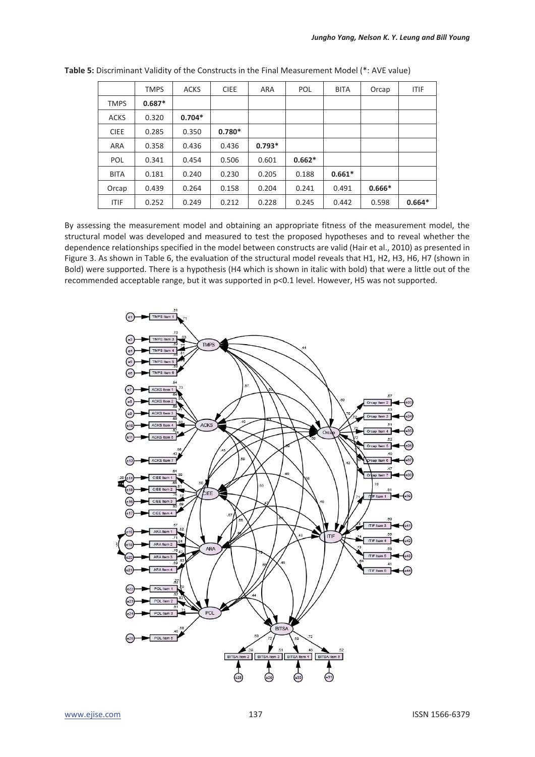|             | <b>TMPS</b> | <b>ACKS</b> | <b>CIEE</b> | ARA      | POL      | <b>BITA</b> | Orcap    | <b>ITIF</b> |
|-------------|-------------|-------------|-------------|----------|----------|-------------|----------|-------------|
| <b>TMPS</b> | $0.687*$    |             |             |          |          |             |          |             |
| <b>ACKS</b> | 0.320       | $0.704*$    |             |          |          |             |          |             |
| <b>CIEE</b> | 0.285       | 0.350       | $0.780*$    |          |          |             |          |             |
| ARA         | 0.358       | 0.436       | 0.436       | $0.793*$ |          |             |          |             |
| POL         | 0.341       | 0.454       | 0.506       | 0.601    | $0.662*$ |             |          |             |
| <b>BITA</b> | 0.181       | 0.240       | 0.230       | 0.205    | 0.188    | $0.661*$    |          |             |
| Orcap       | 0.439       | 0.264       | 0.158       | 0.204    | 0.241    | 0.491       | $0.666*$ |             |
| <b>ITIF</b> | 0.252       | 0.249       | 0.212       | 0.228    | 0.245    | 0.442       | 0.598    | $0.664*$    |

**Table 5:** Discriminant Validity of the Constructs in the Final Measurement Model (\*: AVE value)

By assessing the measurement model and obtaining an appropriate fitness of the measurement model, the structural model was developed and measured to test the proposed hypotheses and to reveal whether the dependence relationships specified in the model between constructs are valid (Hair et al., 2010) as presented in Figure 3. As shown in Table 6, the evaluation of the structural model reveals that H1, H2, H3, H6, H7 (shown in Bold) were supported. There is a hypothesis (H4 which is shown in italic with bold) that were a little out of the recommended acceptable range, but it was supported in p<0.1 level. However, H5 was not supported.

![](_page_12_Figure_4.jpeg)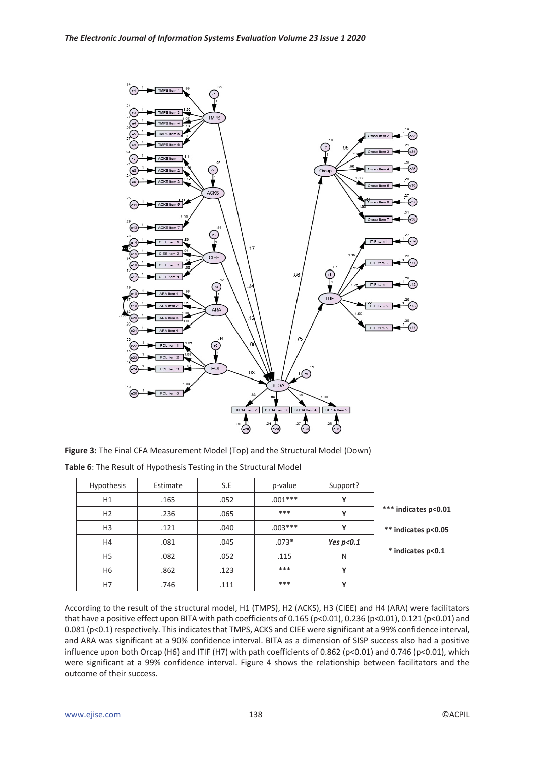![](_page_13_Figure_1.jpeg)

**Figure 3:** The Final CFA Measurement Model (Top) and the Structural Model (Down)

|                      | Support?     | p-value   | S.E  | Estimate | <b>Hypothesis</b> |  |
|----------------------|--------------|-----------|------|----------|-------------------|--|
|                      | Υ            | $.001***$ | .052 | .165     | H1                |  |
| *** indicates p<0.01 | Υ            | ***       | .065 | .236     | H <sub>2</sub>    |  |
| ** indicates p<0.05  | Υ            | $.003***$ | .040 | .121     | H <sub>3</sub>    |  |
|                      | Yes $p<0.1$  | $.073*$   | .045 | .081     | H4                |  |
| * indicates p<0.1    | N            | .115      | .052 | .082     | H <sub>5</sub>    |  |
|                      | Υ            | ***       | .123 | .862     | H6                |  |
|                      | $\mathbf{v}$ | ***       | .111 | .746     | H7                |  |

**Table 6**: The Result of Hypothesis Testing in the Structural Model

According to the result of the structural model, H1 (TMPS), H2 (ACKS), H3 (CIEE) and H4 (ARA) were facilitators that have a positive effect upon BITA with path coefficients of 0.165 (p<0.01), 0.236 (p<0.01), 0.121 (p<0.01) and 0.081 (p<0.1) respectively. This indicates that TMPS, ACKS and CIEE were significant at a 99% confidence interval, and ARA was significant at a 90% confidence interval. BITA as a dimension of SISP success also had a positive influence upon both Orcap (H6) and ITIF (H7) with path coefficients of 0.862 (p<0.01) and 0.746 (p<0.01), which were significant at a 99% confidence interval. Figure 4 shows the relationship between facilitators and the outcome of their success.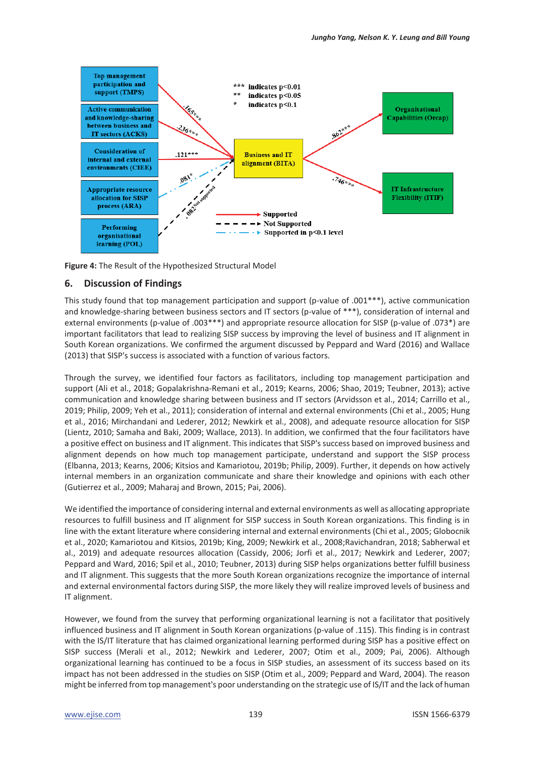![](_page_14_Figure_1.jpeg)

**Figure 4:** The Result of the Hypothesized Structural Model

#### **6. Discussion of Findings**

This study found that top management participation and support (p-value of .001\*\*\*), active communication and knowledge-sharing between business sectors and IT sectors (p-value of \*\*\*), consideration of internal and external environments (p-value of .003\*\*\*) and appropriate resource allocation for SISP (p-value of .073\*) are important facilitators that lead to realizing SISP success by improving the level of business and IT alignment in South Korean organizations. We confirmed the argument discussed by Peppard and Ward (2016) and Wallace (2013) that SISP's success is associated with a function of various factors.

Through the survey, we identified four factors as facilitators, including top management participation and support (Ali et al., 2018; Gopalakrishna-Remani et al., 2019; Kearns, 2006; Shao, 2019; Teubner, 2013); active communication and knowledge sharing between business and IT sectors (Arvidsson et al., 2014; Carrillo et al., 2019; Philip, 2009; Yeh et al., 2011); consideration of internal and external environments (Chi et al., 2005; Hung et al., 2016; Mirchandani and Lederer, 2012; Newkirk et al., 2008), and adequate resource allocation for SISP (Lientz, 2010; Samaha and Baki, 2009; Wallace, 2013). In addition, we confirmed that the four facilitators have a positive effect on business and IT alignment. This indicates that SISP's success based on improved business and alignment depends on how much top management participate, understand and support the SISP process (Elbanna, 2013; Kearns, 2006; Kitsios and Kamariotou, 2019b; Philip, 2009). Further, it depends on how actively internal members in an organization communicate and share their knowledge and opinions with each other (Gutierrez et al., 2009; Maharaj and Brown, 2015; Pai, 2006).

We identified the importance of considering internal and external environments as well as allocating appropriate resources to fulfill business and IT alignment for SISP success in South Korean organizations. This finding is in line with the extant literature where considering internal and external environments (Chi et al., 2005; Globocnik et al., 2020; Kamariotou and Kitsios, 2019b; King, 2009; Newkirk et al., 2008;Ravichandran, 2018; Sabherwal et al., 2019) and adequate resources allocation (Cassidy, 2006; Jorfi et al., 2017; Newkirk and Lederer, 2007; Peppard and Ward, 2016; Spil et al., 2010; Teubner, 2013) during SISP helps organizations better fulfill business and IT alignment. This suggests that the more South Korean organizations recognize the importance of internal and external environmental factors during SISP, the more likely they will realize improved levels of business and IT alignment.

However, we found from the survey that performing organizational learning is not a facilitator that positively influenced business and IT alignment in South Korean organizations (p-value of .115). This finding is in contrast with the IS/IT literature that has claimed organizational learning performed during SISP has a positive effect on SISP success (Merali et al., 2012; Newkirk and Lederer, 2007; Otim et al., 2009; Pai, 2006). Although organizational learning has continued to be a focus in SISP studies, an assessment of its success based on its impact has not been addressed in the studies on SISP (Otim et al., 2009; Peppard and Ward, 2004). The reason might be inferred from top management's poor understanding on the strategic use of IS/IT and the lack of human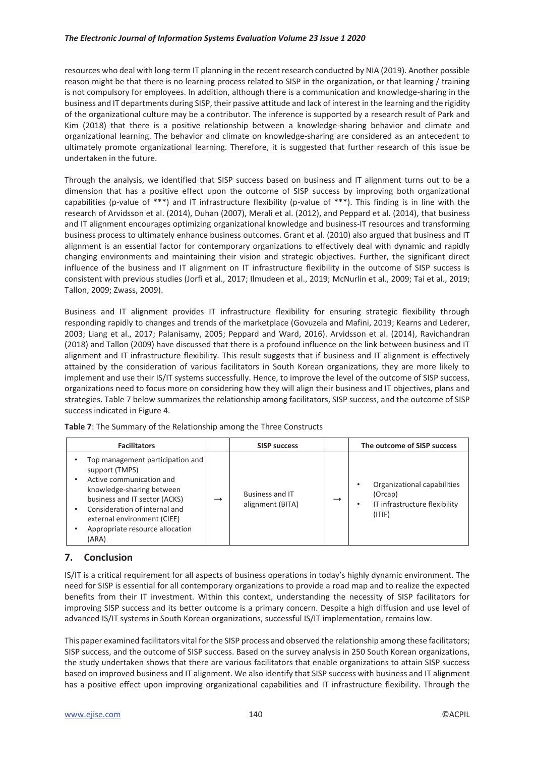resources who deal with long-term IT planning in the recent research conducted by NIA (2019). Another possible reason might be that there is no learning process related to SISP in the organization, or that learning / training is not compulsory for employees. In addition, although there is a communication and knowledge-sharing in the business and IT departments during SISP, their passive attitude and lack of interest in the learning and the rigidity of the organizational culture may be a contributor. The inference is supported by a research result of Park and Kim (2018) that there is a positive relationship between a knowledge-sharing behavior and climate and organizational learning. The behavior and climate on knowledge-sharing are considered as an antecedent to ultimately promote organizational learning. Therefore, it is suggested that further research of this issue be undertaken in the future.

Through the analysis, we identified that SISP success based on business and IT alignment turns out to be a dimension that has a positive effect upon the outcome of SISP success by improving both organizational capabilities (p-value of \*\*\*) and IT infrastructure flexibility (p-value of \*\*\*). This finding is in line with the research of Arvidsson et al. (2014), Duhan (2007), Merali et al. (2012), and Peppard et al. (2014), that business and IT alignment encourages optimizing organizational knowledge and business-IT resources and transforming business process to ultimately enhance business outcomes. Grant et al. (2010) also argued that business and IT alignment is an essential factor for contemporary organizations to effectively deal with dynamic and rapidly changing environments and maintaining their vision and strategic objectives. Further, the significant direct influence of the business and IT alignment on IT infrastructure flexibility in the outcome of SISP success is consistent with previous studies (Jorfi et al., 2017; Ilmudeen et al., 2019; McNurlin et al., 2009; Tai et al., 2019; Tallon, 2009; Zwass, 2009).

Business and IT alignment provides IT infrastructure flexibility for ensuring strategic flexibility through responding rapidly to changes and trends of the marketplace (Govuzela and Mafini, 2019; Kearns and Lederer, 2003; Liang et al., 2017; Palanisamy, 2005; Peppard and Ward, 2016). Arvidsson et al. (2014), Ravichandran (2018) and Tallon (2009) have discussed that there is a profound influence on the link between business and IT alignment and IT infrastructure flexibility. This result suggests that if business and IT alignment is effectively attained by the consideration of various facilitators in South Korean organizations, they are more likely to implement and use their IS/IT systems successfully. Hence, to improve the level of the outcome of SISP success, organizations need to focus more on considering how they will align their business and IT objectives, plans and strategies. Table 7 below summarizes the relationship among facilitators, SISP success, and the outcome of SISP success indicated in Figure 4.

| <b>Facilitators</b>                                                                                                                                                                                                                                      |               | <b>SISP success</b>                 |               | The outcome of SISP success                                                       |
|----------------------------------------------------------------------------------------------------------------------------------------------------------------------------------------------------------------------------------------------------------|---------------|-------------------------------------|---------------|-----------------------------------------------------------------------------------|
| Top management participation and<br>support (TMPS)<br>Active communication and<br>knowledge-sharing between<br>business and IT sector (ACKS)<br>Consideration of internal and<br>external environment (CIEE)<br>Appropriate resource allocation<br>(ARA) | $\rightarrow$ | Business and IT<br>alignment (BITA) | $\rightarrow$ | Organizational capabilities<br>(Orcap)<br>IT infrastructure flexibility<br>(ITIF) |

**Table 7**: The Summary of the Relationship among the Three Constructs

# **7. Conclusion**

IS/IT is a critical requirement for all aspects of business operations in today's highly dynamic environment. The need for SISP is essential for all contemporary organizations to provide a road map and to realize the expected benefits from their IT investment. Within this context, understanding the necessity of SISP facilitators for improving SISP success and its better outcome is a primary concern. Despite a high diffusion and use level of advanced IS/IT systems in South Korean organizations, successful IS/IT implementation, remains low.

This paper examined facilitators vital for the SISP process and observed the relationship among these facilitators; SISP success, and the outcome of SISP success. Based on the survey analysis in 250 South Korean organizations, the study undertaken shows that there are various facilitators that enable organizations to attain SISP success based on improved business and IT alignment. We also identify that SISP success with business and IT alignment has a positive effect upon improving organizational capabilities and IT infrastructure flexibility. Through the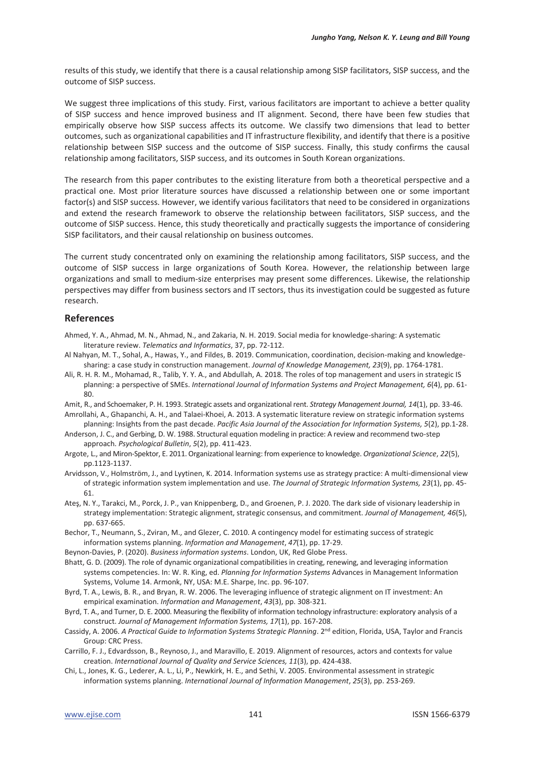results of this study, we identify that there is a causal relationship among SISP facilitators, SISP success, and the outcome of SISP success.

We suggest three implications of this study. First, various facilitators are important to achieve a better quality of SISP success and hence improved business and IT alignment. Second, there have been few studies that empirically observe how SISP success affects its outcome. We classify two dimensions that lead to better outcomes, such as organizational capabilities and IT infrastructure flexibility, and identify that there is a positive relationship between SISP success and the outcome of SISP success. Finally, this study confirms the causal relationship among facilitators, SISP success, and its outcomes in South Korean organizations.

The research from this paper contributes to the existing literature from both a theoretical perspective and a practical one. Most prior literature sources have discussed a relationship between one or some important factor(s) and SISP success. However, we identify various facilitators that need to be considered in organizations and extend the research framework to observe the relationship between facilitators, SISP success, and the outcome of SISP success. Hence, this study theoretically and practically suggests the importance of considering SISP facilitators, and their causal relationship on business outcomes.

The current study concentrated only on examining the relationship among facilitators, SISP success, and the outcome of SISP success in large organizations of South Korea. However, the relationship between large organizations and small to medium-size enterprises may present some differences. Likewise, the relationship perspectives may differ from business sectors and IT sectors, thus its investigation could be suggested as future research.

#### **References**

- Ahmed, Y. A., Ahmad, M. N., Ahmad, N., and Zakaria, N. H. 2019. Social media for knowledge-sharing: A systematic literature review. *Telematics and Informatics*, 37, pp. 72-112.
- Al Nahyan, M. T., Sohal, A., Hawas, Y., and Fildes, B. 2019. Communication, coordination, decision-making and knowledgesharing: a case study in construction management. *Journal of Knowledge Management, 23*(9), pp. 1764-1781.
- Ali, R. H. R. M., Mohamad, R., Talib, Y. Y. A., and Abdullah, A. 2018. The roles of top management and users in strategic IS planning: a perspective of SMEs. *International Journal of Information Systems and Project Management, 6*(4), pp. 61- 80.
- Amit, R., and Schoemaker, P. H. 1993. Strategic assets and organizational rent. *Strategy Management Journal, 14*(1), pp. 33-46.
- Amrollahi, A., Ghapanchi, A. H., and Talaei-Khoei, A. 2013. A systematic literature review on strategic information systems planning: Insights from the past decade. *Pacific Asia Journal of the Association for Information Systems, 5*(2), pp.1-28.
- Anderson, J. C., and Gerbing, D. W. 1988. Structural equation modeling in practice: A review and recommend two-step approach. *Psychological Bulletin*, *5*(2), pp. 411-423.
- Argote, L., and Miron-Spektor, E. 2011. Organizational learning: from experience to knowledge. *Organizational Science*, *22*(5), pp.1123-1137.
- Arvidsson, V., Holmström, J., and Lyytinen, K. 2014. Information systems use as strategy practice: A multi-dimensional view of strategic information system implementation and use. *The Journal of Strategic Information Systems, 23*(1), pp. 45- 61.
- Ateş, N. Y., Tarakci, M., Porck, J. P., van Knippenberg, D., and Groenen, P. J. 2020. The dark side of visionary leadership in strategy implementation: Strategic alignment, strategic consensus, and commitment. *Journal of Management, 46*(5), pp. 637-665.
- Bechor, T., Neumann, S., Zviran, M., and Glezer, C. 2010. A contingency model for estimating success of strategic information systems planning. *Information and Management*, *47*(1), pp. 17-29.
- Beynon-Davies, P. (2020). *Business information systems*. London, UK, Red Globe Press.
- Bhatt, G. D. (2009). The role of dynamic organizational compatibilities in creating, renewing, and leveraging information systems competencies. In: W. R. King, ed. *Planning for Information Systems* Advances in Management Information Systems, Volume 14. Armonk, NY, USA: M.E. Sharpe, Inc. pp. 96-107.
- Byrd, T. A., Lewis, B. R., and Bryan, R. W. 2006. The leveraging influence of strategic alignment on IT investment: An empirical examination. *Information and Management*, *43*(3), pp. 308-321.
- Byrd, T. A., and Turner, D. E. 2000. Measuring the flexibility of information technology infrastructure: exploratory analysis of a construct. *Journal of Management Information Systems, 17*(1), pp. 167-208.
- Cassidy, A. 2006. *A Practical Guide to Information Systems Strategic Planning*. 2<sup>nd</sup> edition, Florida, USA, Taylor and Francis Group: CRC Press.
- Carrillo, F. J., Edvardsson, B., Reynoso, J., and Maravillo, E. 2019. Alignment of resources, actors and contexts for value creation. *International Journal of Quality and Service Sciences, 11*(3), pp. 424-438.
- Chi, L., Jones, K. G., Lederer, A. L., Li, P., Newkirk, H. E., and Sethi, V. 2005. Environmental assessment in strategic information systems planning. *International Journal of Information Management*, *25*(3), pp. 253-269.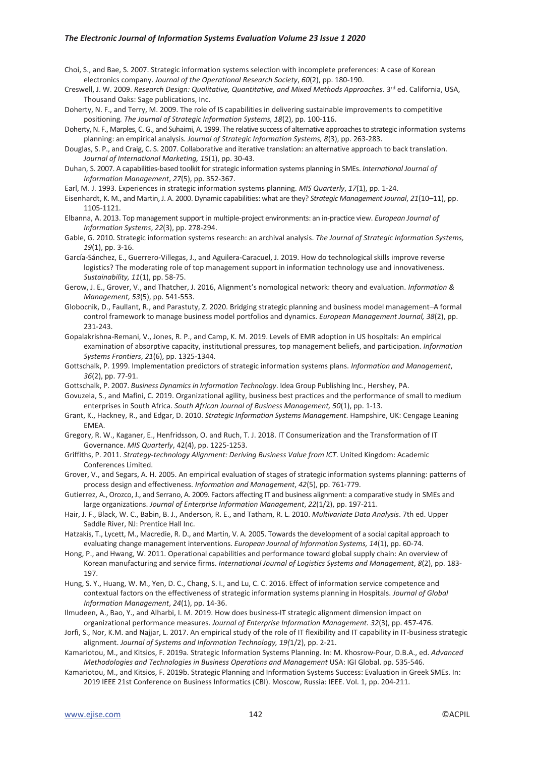#### *The Electronic Journal of Information Systems Evaluation Volume 23 Issue 1 2020*

- Choi, S., and Bae, S. 2007. Strategic information systems selection with incomplete preferences: A case of Korean electronics company. *Journal of the Operational Research Society*, *60*(2), pp. 180-190.
- Creswell, J. W. 2009. *Research Design: Qualitative, Quantitative, and Mixed Methods Approaches*. 3rd ed. California, USA, Thousand Oaks: Sage publications, Inc.
- Doherty, N. F., and Terry, M. 2009. The role of IS capabilities in delivering sustainable improvements to competitive positioning*. The Journal of Strategic Information Systems, 18*(2), pp. 100-116.
- Doherty, N. F., Marples, C. G., and Suhaimi, A. 1999. The relative success of alternative approaches to strategic information systems planning: an empirical analysis*. Journal of Strategic Information Systems, 8*(3), pp. 263-283.
- Douglas, S. P., and Craig, C. S. 2007. Collaborative and iterative translation: an alternative approach to back translation. *Journal of International Marketing, 15*(1), pp. 30-43.
- Duhan, S. 2007. A capabilities-based toolkit for strategic information systems planning in SMEs. *International Journal of Information Management*, *27*(5), pp. 352-367.
- Earl, M. J. 1993. Experiences in strategic information systems planning. *MIS Quarterly*, *17*(1), pp. 1-24.
- Eisenhardt, K. M., and Martin, J. A. 2000. Dynamic capabilities: what are they? *Strategic Management Journal*, *21*(10–11), pp. 1105-1121.
- Elbanna, A. 2013. Top management support in multiple-project environments: an in-practice view. *European Journal of Information Systems*, *22*(3), pp. 278-294.
- Gable, G. 2010. Strategic information systems research: an archival analysis. *The Journal of Strategic Information Systems, 19*(1), pp. 3-16.
- García-Sánchez, E., Guerrero-Villegas, J., and Aguilera-Caracuel, J. 2019. How do technological skills improve reverse logistics? The moderating role of top management support in information technology use and innovativeness. *Sustainability, 11*(1), pp. 58-75.
- Gerow, J. E., Grover, V., and Thatcher, J. 2016, Alignment's nomological network: theory and evaluation. *Information & Management, 53*(5), pp. 541-553.
- Globocnik, D., Faullant, R., and Parastuty, Z. 2020. Bridging strategic planning and business model management–A formal control framework to manage business model portfolios and dynamics. *European Management Journal, 38*(2), pp. 231-243.
- Gopalakrishna-Remani, V., Jones, R. P., and Camp, K. M. 2019. Levels of EMR adoption in US hospitals: An empirical examination of absorptive capacity, institutional pressures, top management beliefs, and participation. *Information Systems Frontiers*, *21*(6), pp. 1325-1344.
- Gottschalk, P. 1999. Implementation predictors of strategic information systems plans. *Information and Management*, *36*(2), pp. 77-91.
- Gottschalk, P. 2007. *Business Dynamics in Information Technology*. Idea Group Publishing Inc., Hershey, PA.
- Govuzela, S., and Mafini, C. 2019. Organizational agility, business best practices and the performance of small to medium enterprises in South Africa. *South African Journal of Business Management, 50*(1), pp. 1-13.
- Grant, K., Hackney, R., and Edgar, D. 2010. *Strategic Information Systems Management*. Hampshire, UK: Cengage Leaning EMEA.
- Gregory, R. W., Kaganer, E., Henfridsson, O. and Ruch, T. J. 2018. IT Consumerization and the Transformation of IT Governance. *MIS Quarterly*, 42(4), pp. 1225-1253.
- Griffiths, P. 2011. *Strategy-technology Alignment: Deriving Business Value from ICT*. United Kingdom: Academic Conferences Limited.
- Grover, V., and Segars, A. H. 2005. An empirical evaluation of stages of strategic information systems planning: patterns of process design and effectiveness. *Information and Management*, *42*(5), pp. 761-779.
- Gutierrez, A., Orozco, J., and Serrano, A. 2009. Factors affecting IT and business alignment: a comparative study in SMEs and large organizations. *Journal of Enterprise Information Management*, *22*(1/2), pp. 197-211.
- Hair, J. F., Black, W. C., Babin, B. J., Anderson, R. E., and Tatham, R. L. 2010. *Multivariate Data Analysis*. 7th ed. Upper Saddle River, NJ: Prentice Hall Inc.
- Hatzakis, T., Lycett, M., Macredie, R. D., and Martin, V. A. 2005. Towards the development of a social capital approach to evaluating change management interventions. *European Journal of Information Systems, 14*(1), pp. 60-74.
- Hong, P., and Hwang, W. 2011. Operational capabilities and performance toward global supply chain: An overview of Korean manufacturing and service firms. *International Journal of Logistics Systems and Management*, *8*(2), pp. 183- 197.
- Hung, S. Y., Huang, W. M., Yen, D. C., Chang, S. I., and Lu, C. C. 2016. Effect of information service competence and contextual factors on the effectiveness of strategic information systems planning in Hospitals. *Journal of Global Information Management*, *24*(1), pp. 14-36.
- Ilmudeen, A., Bao, Y., and Alharbi, I. M. 2019. How does business-IT strategic alignment dimension impact on organizational performance measures. *Journal of Enterprise Information Management. 32*(3), pp. 457-476.
- Jorfi, S., Nor, K.M. and Najjar, L. 2017. An empirical study of the role of IT flexibility and IT capability in IT-business strategic alignment. *Journal of Systems and Information Technology, 19(*1/2), pp. 2-21.
- Kamariotou, M., and Kitsios, F. 2019a. Strategic Information Systems Planning. In: M. Khosrow-Pour, D.B.A., ed. *Advanced Methodologies and Technologies in Business Operations and Management* USA: IGI Global. pp. 535-546.
- Kamariotou, M., and Kitsios, F. 2019b. Strategic Planning and Information Systems Success: Evaluation in Greek SMEs. In: 2019 IEEE 21st Conference on Business Informatics (CBI). Moscow, Russia: IEEE. Vol. 1, pp. 204-211.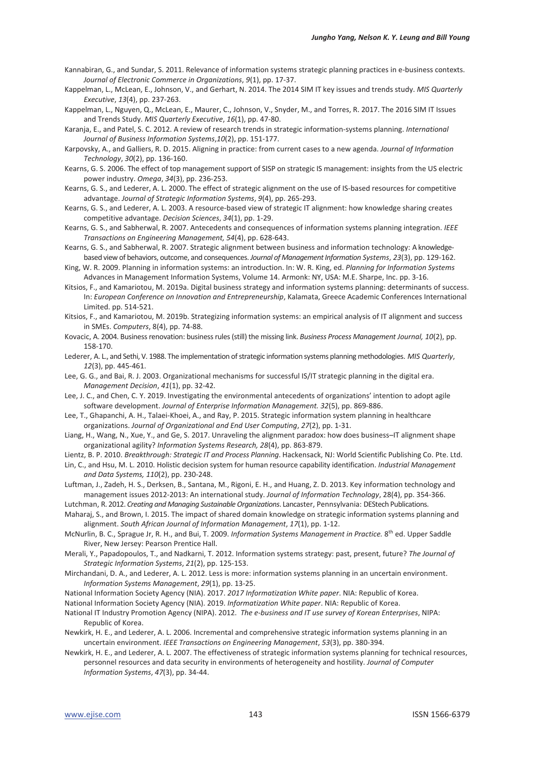- Kannabiran, G., and Sundar, S. 2011. Relevance of information systems strategic planning practices in e-business contexts. *Journal of Electronic Commerce in Organizations*, *9*(1), pp. 17-37.
- Kappelman, L., McLean, E., Johnson, V., and Gerhart, N. 2014. The 2014 SIM IT key issues and trends study. *MIS Quarterly Executive*, *13*(4), pp. 237-263.
- Kappelman, L., Nguyen, Q., McLean, E., Maurer, C., Johnson, V., Snyder, M., and Torres, R. 2017. The 2016 SIM IT Issues and Trends Study. *MIS Quarterly Executive*, *16*(1), pp. 47-80.
- Karanja, E., and Patel, S. C. 2012. A review of research trends in strategic information-systems planning. *International Journal of Business Information Systems*,*10*(2), pp. 151-177.
- Karpovsky, A., and Galliers, R. D. 2015. Aligning in practice: from current cases to a new agenda. *Journal of Information Technology*, *30*(2), pp. 136-160.
- Kearns, G. S. 2006. The effect of top management support of SISP on strategic IS management: insights from the US electric power industry. *Omega*, *34*(3), pp. 236-253.
- Kearns, G. S., and Lederer, A. L. 2000. The effect of strategic alignment on the use of IS-based resources for competitive advantage. *Journal of Strategic Information Systems*, *9*(4), pp. 265-293.
- Kearns, G. S., and Lederer, A. L. 2003. A resource-based view of strategic IT alignment: how knowledge sharing creates competitive advantage. *Decision Sciences*, *34*(1), pp. 1-29.
- Kearns, G. S., and Sabherwal, R. 2007. Antecedents and consequences of information systems planning integration. *IEEE Transactions on Engineering Management, 54*(4), pp. 628-643.
- Kearns, G. S., and Sabherwal, R. 2007. Strategic alignment between business and information technology: A knowledgebased view of behaviors, outcome, and consequences. *Journal of Management Information Systems*, *23*(3), pp. 129-162.
- King, W. R. 2009. Planning in information systems: an introduction. In: W. R. King, ed. *Planning for Information Systems*  Advances in Management Information Systems, Volume 14. Armonk: NY, USA: M.E. Sharpe, Inc. pp. 3-16.
- Kitsios, F., and Kamariotou, M. 2019a. Digital business strategy and information systems planning: determinants of success. In: *European Conference on Innovation and Entrepreneurship*, Kalamata, Greece Academic Conferences International Limited. pp. 514-521.
- Kitsios, F., and Kamariotou, M. 2019b. Strategizing information systems: an empirical analysis of IT alignment and success in SMEs. *Computers*, 8(4), pp. 74-88.
- Kovacic, A. 2004. Business renovation: business rules (still) the missing link. *Business Process Management Journal, 10*(2), pp. 158-170.
- Lederer, A. L., and Sethi, V. 1988. The implementation of strategic information systems planning methodologies. *MIS Quarterly*, *12*(3), pp. 445-461.

Lee, G. G., and Bai, R. J. 2003. Organizational mechanisms for successful IS/IT strategic planning in the digital era. *Management Decision*, *41*(1), pp. 32-42.

- Lee, J. C., and Chen, C. Y. 2019. Investigating the environmental antecedents of organizations' intention to adopt agile software development. *Journal of Enterprise Information Management. 32*(5), pp. 869-886.
- Lee, T., Ghapanchi, A. H., Talaei-Khoei, A., and Ray, P. 2015. Strategic information system planning in healthcare organizations. *Journal of Organizational and End User Computing*, *27*(2), pp. 1-31.
- Liang, H., Wang, N., Xue, Y., and Ge, S. 2017. Unraveling the alignment paradox: how does business–IT alignment shape organizational agility? *Information Systems Research, 28*(4), pp. 863-879.
- Lientz, B. P. 2010. *Breakthrough: Strategic IT and Process Planning*. Hackensack, NJ: World Scientific Publishing Co. Pte. Ltd.
- Lin, C., and Hsu, M. L. 2010. Holistic decision system for human resource capability identification. *Industrial Management and Data Systems, 110*(2), pp. 230-248.
- Luftman, J., Zadeh, H. S., Derksen, B., Santana, M., Rigoni, E. H., and Huang, Z. D. 2013. Key information technology and management issues 2012-2013: An international study. *Journal of Information Technology*, 28(4), pp. 354-366.
- Lutchman, R. 2012. *Creating and Managing Sustainable Organizations*. Lancaster, Pennsylvania: DEStech Publications.
- Maharaj, S., and Brown, I. 2015. The impact of shared domain knowledge on strategic information systems planning and alignment. *South African Journal of Information Management*, *17*(1), pp. 1-12.

McNurlin, B. C., Sprague Jr, R. H., and Bui, T. 2009. *Information Systems Management in Practice.* 8th ed. Upper Saddle River, New Jersey: Pearson Prentice Hall.

- Merali, Y., Papadopoulos, T., and Nadkarni, T. 2012. Information systems strategy: past, present, future? *The Journal of Strategic Information Systems*, *21*(2), pp. 125-153.
- Mirchandani, D. A., and Lederer, A. L. 2012. Less is more: information systems planning in an uncertain environment. *Information Systems Management*, *29*(1), pp. 13-25.
- National Information Society Agency (NIA). 2017. *2017 Informatization White paper*. NIA: Republic of Korea.
- National Information Society Agency (NIA). 2019. *Informatization White paper*. NIA: Republic of Korea.
- National IT Industry Promotion Agency (NIPA). 2012. *The e-business and IT use survey of Korean Enterprises*, NIPA: Republic of Korea.
- Newkirk, H. E., and Lederer, A. L. 2006. Incremental and comprehensive strategic information systems planning in an uncertain environment. *IEEE Transactions on Engineering Management*, *53*(3), pp. 380-394.
- Newkirk, H. E., and Lederer, A. L. 2007. The effectiveness of strategic information systems planning for technical resources, personnel resources and data security in environments of heterogeneity and hostility. *Journal of Computer Information Systems*, *47*(3), pp. 34-44.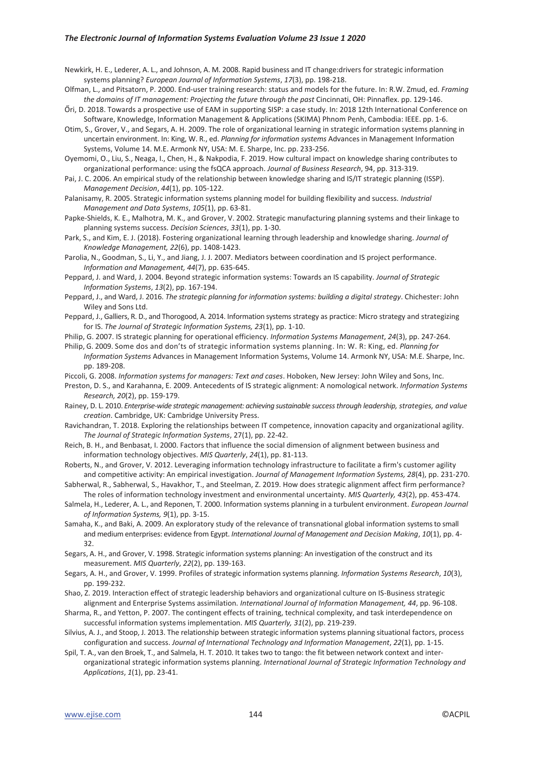#### *The Electronic Journal of Information Systems Evaluation Volume 23 Issue 1 2020*

- Newkirk, H. E., Lederer, A. L., and Johnson, A. M. 2008. Rapid business and IT change:drivers for strategic information systems planning? *European Journal of Information Systems*, *17*(3), pp. 198-218.
- Olfman, L., and Pitsatorn, P. 2000. End-user training research: status and models for the future. In: R.W. Zmud, ed. *Framing the domains of IT management: Projecting the future through the past* Cincinnati, OH: Pinnaflex. pp. 129-146.
- Őri, D. 2018. Towards a prospective use of EAM in supporting SISP: a case study. In: 2018 12th International Conference on Software, Knowledge, Information Management & Applications (SKIMA) Phnom Penh, Cambodia: IEEE. pp. 1-6.
- Otim, S., Grover, V., and Segars, A. H. 2009. The role of organizational learning in strategic information systems planning in uncertain environment. In: King, W. R., ed. *Planning for information systems* Advances in Management Information Systems, Volume 14. M.E. Armonk NY, USA: M. E. Sharpe, Inc. pp. 233-256.
- Oyemomi, O., Liu, S., Neaga, I., Chen, H., & Nakpodia, F. 2019. How cultural impact on knowledge sharing contributes to organizational performance: using the fsQCA approach. *Journal of Business Research*, 94, pp. 313-319.
- Pai, J. C. 2006. An empirical study of the relationship between knowledge sharing and IS/IT strategic planning (ISSP). *Management Decision*, *44*(1), pp. 105-122.
- Palanisamy, R. 2005. Strategic information systems planning model for building flexibility and success. *Industrial Management and Data Systems*, *105*(1), pp. 63-81.
- Papke-Shields, K. E., Malhotra, M. K., and Grover, V. 2002. Strategic manufacturing planning systems and their linkage to planning systems success. *Decision Sciences*, *33*(1), pp. 1-30.
- Park, S., and Kim, E. J. (2018). Fostering organizational learning through leadership and knowledge sharing. *Journal of Knowledge Management, 22*(6), pp. 1408-1423.
- Parolia, N., Goodman, S., Li, Y., and Jiang, J. J. 2007. Mediators between coordination and IS project performance. *Information and Management, 44*(7), pp. 635-645.
- Peppard, J. and Ward, J. 2004. Beyond strategic information systems: Towards an IS capability. *Journal of Strategic Information Systems*, *13*(2), pp. 167-194.
- Peppard, J., and Ward, J. 2016. *The strategic planning for information systems: building a digital strategy*. Chichester: John Wiley and Sons Ltd.
- Peppard, J., Galliers, R. D., and Thorogood, A. 2014. Information systems strategy as practice: Micro strategy and strategizing for IS. *The Journal of Strategic Information Systems, 23*(1), pp. 1-10.
- Philip, G. 2007. IS strategic planning for operational efficiency. *Information Systems Management*, *24*(3), pp. 247-264.

Philip, G. 2009. Some dos and don'ts of strategic information systems planning. In: W. R: King, ed. *Planning for Information Systems* Advances in Management Information Systems, Volume 14. Armonk NY, USA: M.E. Sharpe, Inc. pp. 189-208.

Piccoli, G. 2008. *Information systems for managers: Text and cases*. Hoboken, New Jersey: John Wiley and Sons, Inc.

- Preston, D. S., and Karahanna, E. 2009. Antecedents of IS strategic alignment: A nomological network. *Information Systems Research, 20*(2), pp. 159-179.
- Rainey, D. L. 2010. *Enterprise-wide strategic management: achieving sustainable success through leadership, strategies, and value creation*. Cambridge, UK: Cambridge University Press.
- Ravichandran, T. 2018. Exploring the relationships between IT competence, innovation capacity and organizational agility. *The Journal of Strategic Information Systems*, 27(1), pp. 22-42.
- Reich, B. H., and Benbasat, I. 2000. Factors that influence the social dimension of alignment between business and information technology objectives. *MIS Quarterly*, *24*(1), pp. 81-113.
- Roberts, N., and Grover, V. 2012. Leveraging information technology infrastructure to facilitate a firm's customer agility and competitive activity: An empirical investigation. *Journal of Management Information Systems, 28*(4), pp. 231-270.
- Sabherwal, R., Sabherwal, S., Havakhor, T., and Steelman, Z. 2019. How does strategic alignment affect firm performance? The roles of information technology investment and environmental uncertainty. *MIS Quarterly, 43*(2), pp. 453-474.
- Salmela, H., Lederer, A. L., and Reponen, T. 2000. Information systems planning in a turbulent environment. *European Journal of Information Systems, 9*(1), pp. 3-15.
- Samaha, K., and Baki, A. 2009. An exploratory study of the relevance of transnational global information systems to small and medium enterprises: evidence from Egypt. *International Journal of Management and Decision Making*, *10*(1), pp. 4- 32.
- Segars, A. H., and Grover, V. 1998. Strategic information systems planning: An investigation of the construct and its measurement. *MIS Quarterly*, *22*(2), pp. 139-163.
- Segars, A. H., and Grover, V. 1999. Profiles of strategic information systems planning. *Information Systems Research*, *10*(3), pp. 199-232.
- Shao, Z. 2019. Interaction effect of strategic leadership behaviors and organizational culture on IS-Business strategic alignment and Enterprise Systems assimilation. *International Journal of Information Management, 44*, pp. 96-108.
- Sharma, R., and Yetton, P. 2007. The contingent effects of training, technical complexity, and task interdependence on successful information systems implementation. *MIS Quarterly, 31*(2), pp. 219-239.
- Silvius, A. J., and Stoop, J. 2013. The relationship between strategic information systems planning situational factors, process configuration and success. *Journal of International Technology and Information Management*, *22*(1), pp. 1-15.
- Spil, T. A., van den Broek, T., and Salmela, H. T. 2010. It takes two to tango: the fit between network context and interorganizational strategic information systems planning. *International Journal of Strategic Information Technology and Applications*, *1*(1), pp. 23-41.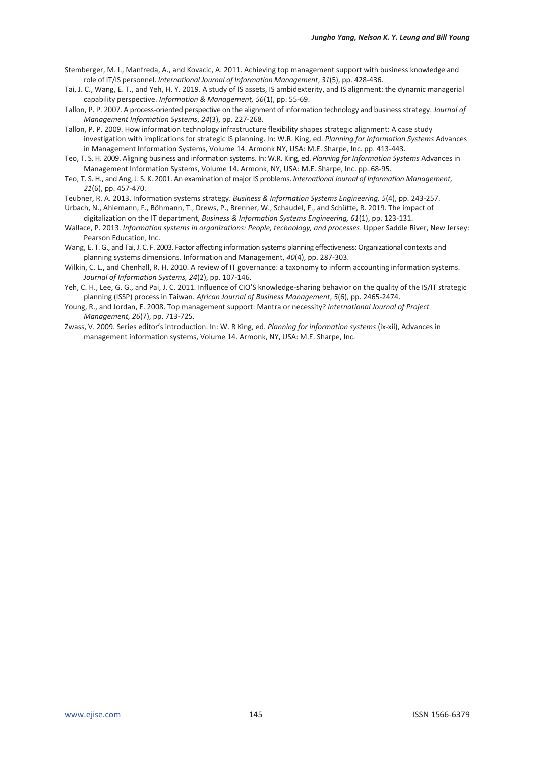- Stemberger, M. I., Manfreda, A., and Kovacic, A. 2011. Achieving top management support with business knowledge and role of IT/IS personnel. *International Journal of Information Management*, *31*(5), pp. 428-436.
- Tai, J. C., Wang, E. T., and Yeh, H. Y. 2019. A study of IS assets, IS ambidexterity, and IS alignment: the dynamic managerial capability perspective. *Information & Management, 56*(1), pp. 55-69.
- Tallon, P. P. 2007. A process-oriented perspective on the alignment of information technology and business strategy. *Journal of Management Information Systems*, *24*(3), pp. 227-268.
- Tallon, P. P. 2009. How information technology infrastructure flexibility shapes strategic alignment: A case study investigation with implications for strategic IS planning. In: W.R. King, ed. *Planning for Information Systems* Advances in Management Information Systems, Volume 14. Armonk NY, USA: M.E. Sharpe, Inc. pp. 413-443.
- Teo, T. S. H. 2009. Aligning business and information systems. In: W.R. King, ed. *Planning for Information Systems* Advances in Management Information Systems, Volume 14. Armonk, NY, USA: M.E. Sharpe, Inc. pp. 68-95.
- Teo, T. S. H., and Ang, J. S. K. 2001. An examination of major IS problems. *International Journal of Information Management, 21*(6), pp. 457-470.
- Teubner, R. A. 2013. Information systems strategy. *Business & Information Systems Engineering, 5*(4), pp. 243-257.
- Urbach, N., Ahlemann, F., Böhmann, T., Drews, P., Brenner, W., Schaudel, F., and Schütte, R. 2019. The impact of digitalization on the IT department, *Business & Information Systems Engineering, 61*(1), pp. 123-131.
- Wallace, P. 2013. *Information systems in organizations: People, technology, and processes*. Upper Saddle River, New Jersey: Pearson Education, Inc.
- Wang, E. T. G., and Tai, J. C. F. 2003. Factor affecting information systems planning effectiveness: Organizational contexts and planning systems dimensions. Information and Management, *40*(4), pp. 287-303.
- Wilkin, C. L., and Chenhall, R. H. 2010. A review of IT governance: a taxonomy to inform accounting information systems. *Journal of Information Systems, 24*(2), pp. 107-146.
- Yeh, C. H., Lee, G. G., and Pai, J. C. 2011. Influence of CIO'S knowledge-sharing behavior on the quality of the IS/IT strategic planning (ISSP) process in Taiwan. *African Journal of Business Management*, *5*(6), pp. 2465-2474.
- Young, R., and Jordan, E. 2008. Top management support: Mantra or necessity? *International Journal of Project Management, 26*(7), pp. 713-725.
- Zwass, V. 2009. Series editor's introduction. In: W. R King, ed. *Planning for information systems* (ix-xii), Advances in management information systems, Volume 14. Armonk, NY, USA: M.E. Sharpe, Inc.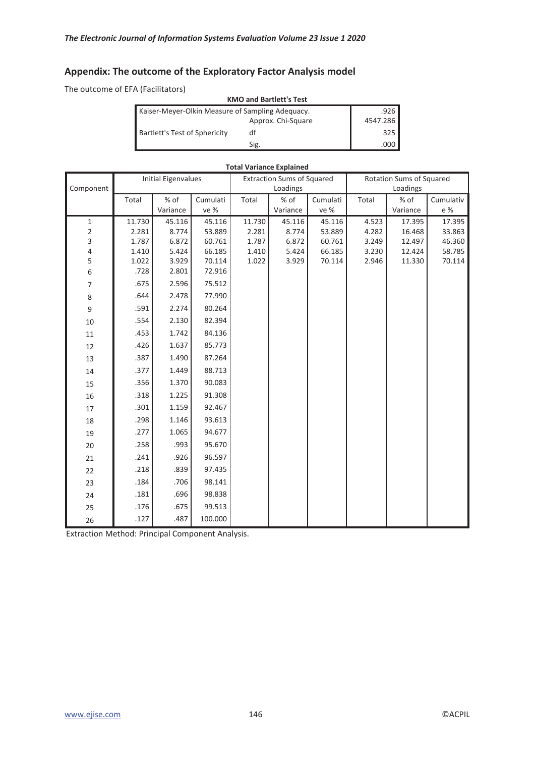# **Appendix: The outcome of the Exploratory Factor Analysis model**

The outcome of EFA (Facilitators)

| <b>KMO and Bartlett's Test</b>                   |                    |          |  |  |  |  |
|--------------------------------------------------|--------------------|----------|--|--|--|--|
| Kaiser-Meyer-Olkin Measure of Sampling Adequacy. | .926               |          |  |  |  |  |
|                                                  | Approx. Chi-Square | 4547.286 |  |  |  |  |
| Bartlett's Test of Sphericity                    | df                 | 325      |  |  |  |  |
|                                                  | Sig.               | .000     |  |  |  |  |

| <b>Total Variance Explained</b> |        |                            |          |        |                                   |          |       |                          |           |
|---------------------------------|--------|----------------------------|----------|--------|-----------------------------------|----------|-------|--------------------------|-----------|
|                                 |        | <b>Initial Eigenvalues</b> |          |        | <b>Extraction Sums of Squared</b> |          |       | Rotation Sums of Squared |           |
| Component                       |        |                            |          |        | Loadings                          |          |       | Loadings                 |           |
|                                 | Total  | % of                       | Cumulati | Total  | % of                              | Cumulati | Total | % of                     | Cumulativ |
|                                 |        | Variance                   | ve %     |        | Variance                          | ve %     |       | Variance                 | e %       |
| 1                               | 11.730 | 45.116                     | 45.116   | 11.730 | 45.116                            | 45.116   | 4.523 | 17.395                   | 17.395    |
| $\overline{c}$                  | 2.281  | 8.774                      | 53.889   | 2.281  | 8.774                             | 53.889   | 4.282 | 16.468                   | 33.863    |
| 3                               | 1.787  | 6.872                      | 60.761   | 1.787  | 6.872                             | 60.761   | 3.249 | 12.497                   | 46.360    |
| 4                               | 1.410  | 5.424                      | 66.185   | 1.410  | 5.424                             | 66.185   | 3.230 | 12.424                   | 58.785    |
| 5                               | 1.022  | 3.929                      | 70.114   | 1.022  | 3.929                             | 70.114   | 2.946 | 11.330                   | 70.114    |
| 6                               | .728   | 2.801                      | 72.916   |        |                                   |          |       |                          |           |
| 7                               | .675   | 2.596                      | 75.512   |        |                                   |          |       |                          |           |
| 8                               | .644   | 2.478                      | 77.990   |        |                                   |          |       |                          |           |
| 9                               | .591   | 2.274                      | 80.264   |        |                                   |          |       |                          |           |
| 10                              | .554   | 2.130                      | 82.394   |        |                                   |          |       |                          |           |
| 11                              | .453   | 1.742                      | 84.136   |        |                                   |          |       |                          |           |
| 12                              | .426   | 1.637                      | 85.773   |        |                                   |          |       |                          |           |
| 13                              | .387   | 1.490                      | 87.264   |        |                                   |          |       |                          |           |
| 14                              | .377   | 1.449                      | 88.713   |        |                                   |          |       |                          |           |
| 15                              | .356   | 1.370                      | 90.083   |        |                                   |          |       |                          |           |
| 16                              | .318   | 1.225                      | 91.308   |        |                                   |          |       |                          |           |
| 17                              | .301   | 1.159                      | 92.467   |        |                                   |          |       |                          |           |
| 18                              | .298   | 1.146                      | 93.613   |        |                                   |          |       |                          |           |
| 19                              | .277   | 1.065                      | 94.677   |        |                                   |          |       |                          |           |
| 20                              | .258   | .993                       | 95.670   |        |                                   |          |       |                          |           |
| 21                              | .241   | .926                       | 96.597   |        |                                   |          |       |                          |           |
| 22                              | .218   | .839                       | 97.435   |        |                                   |          |       |                          |           |
| 23                              | .184   | .706                       | 98.141   |        |                                   |          |       |                          |           |
| 24                              | .181   | .696                       | 98.838   |        |                                   |          |       |                          |           |
| 25                              | .176   | .675                       | 99.513   |        |                                   |          |       |                          |           |
| 26                              | .127   | .487                       | 100.000  |        |                                   |          |       |                          |           |

Extraction Method: Principal Component Analysis.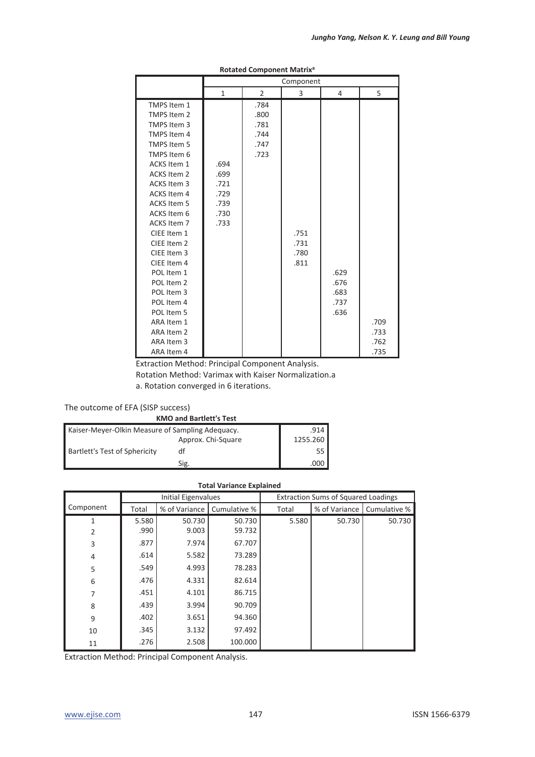|                    |              |                | Component |      |      |
|--------------------|--------------|----------------|-----------|------|------|
|                    | $\mathbf{1}$ | $\overline{2}$ | 3         | 4    | 5    |
| TMPS Item 1        |              | .784           |           |      |      |
| TMPS Item 2        |              | .800           |           |      |      |
| TMPS Item 3        |              | .781           |           |      |      |
| TMPS Item 4        |              | .744           |           |      |      |
| TMPS Item 5        |              | .747           |           |      |      |
| TMPS Item 6        |              | .723           |           |      |      |
| ACKS Item 1        | .694         |                |           |      |      |
| <b>ACKS Item 2</b> | .699         |                |           |      |      |
| <b>ACKS Item 3</b> | .721         |                |           |      |      |
| <b>ACKS Item 4</b> | .729         |                |           |      |      |
| <b>ACKS Item 5</b> | .739         |                |           |      |      |
| ACKS Item 6        | .730         |                |           |      |      |
| ACKS Item 7        | .733         |                |           |      |      |
| CIEE Item 1        |              |                | .751      |      |      |
| CIEE Item 2        |              |                | .731      |      |      |
| CIEE Item 3        |              |                | .780      |      |      |
| CIEE Item 4        |              |                | .811      |      |      |
| POL Item 1         |              |                |           | .629 |      |
| POL Item 2         |              |                |           | .676 |      |
| POL Item 3         |              |                |           | .683 |      |
| POL Item 4         |              |                |           | .737 |      |
| POL Item 5         |              |                |           | .636 |      |
| ARA Item 1         |              |                |           |      | .709 |
| ARA Item 2         |              |                |           |      | .733 |
| ARA Item 3         |              |                |           |      | .762 |
| ARA Item 4         |              |                |           |      | .735 |

#### **Rotated Component Matrixa**

Extraction Method: Principal Component Analysis.

Rotation Method: Varimax with Kaiser Normalization.a

a. Rotation converged in 6 iterations.

#### The outcome of EFA (SISP success)

|  | <b>KMO and Bartlett's Test</b> |  |
|--|--------------------------------|--|
|  |                                |  |

| Kaiser-Meyer-Olkin Measure of Sampling Adequacy. | .914               |          |
|--------------------------------------------------|--------------------|----------|
|                                                  | Approx. Chi-Square | 1255.260 |
| <b>Bartlett's Test of Sphericity</b>             | df                 | 55'      |
|                                                  | Sig.               | .000     |

| <b>Total Variance Explained</b> |       |                            |              |                                            |               |              |  |
|---------------------------------|-------|----------------------------|--------------|--------------------------------------------|---------------|--------------|--|
|                                 |       | <b>Initial Eigenvalues</b> |              | <b>Extraction Sums of Squared Loadings</b> |               |              |  |
| Component                       | Total | % of Variance              | Cumulative % | Total                                      | % of Variance | Cumulative % |  |
| 1                               | 5.580 | 50.730                     | 50.730       | 5.580                                      | 50.730        | 50.730       |  |
| $\overline{2}$                  | .990  | 9.003                      | 59.732       |                                            |               |              |  |
| 3                               | .877  | 7.974                      | 67.707       |                                            |               |              |  |
| 4                               | .614  | 5.582                      | 73.289       |                                            |               |              |  |
| 5                               | .549  | 4.993                      | 78.283       |                                            |               |              |  |
| 6                               | .476  | 4.331                      | 82.614       |                                            |               |              |  |
| 7                               | .451  | 4.101                      | 86.715       |                                            |               |              |  |
| 8                               | .439  | 3.994                      | 90.709       |                                            |               |              |  |
| 9                               | .402  | 3.651                      | 94.360       |                                            |               |              |  |
| 10                              | .345  | 3.132                      | 97.492       |                                            |               |              |  |
| 11                              | .276  | 2.508                      | 100.000      |                                            |               |              |  |

Extraction Method: Principal Component Analysis.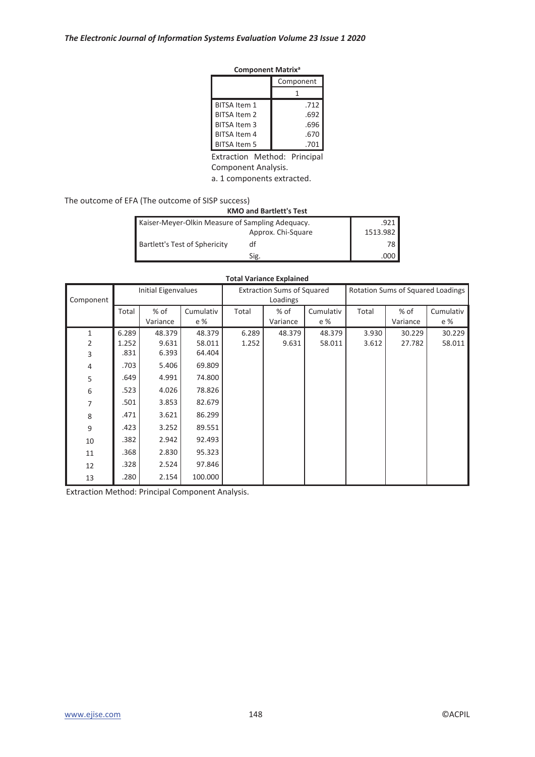| <b>Component Matrix<sup>a</sup></b> |  |
|-------------------------------------|--|
|-------------------------------------|--|

|                     | Component |  |
|---------------------|-----------|--|
|                     |           |  |
| <b>BITSA Item 1</b> | .712      |  |
| <b>BITSA Item 2</b> | .692      |  |
| BITSA Item 3        | .696      |  |
| <b>BITSA Item 4</b> | .670      |  |
| <b>BITSA Item 5</b> | .701      |  |

Extraction Method: Principal

Component Analysis.

a. 1 components extracted.

The outcome of EFA (The outcome of SISP success)

| <b>KMO and Bartlett's Test</b>                   |                    |          |  |  |  |
|--------------------------------------------------|--------------------|----------|--|--|--|
| Kaiser-Meyer-Olkin Measure of Sampling Adequacy. | ا 921.             |          |  |  |  |
|                                                  | Approx. Chi-Square | 1513.982 |  |  |  |
| Bartlett's Test of Sphericity                    | df                 | 78 I     |  |  |  |
|                                                  | Sig.               |          |  |  |  |

#### **Total Variance Explained**

| Component |       |          | <b>Extraction Sums of Squared</b><br>Rotation Sums of Squared Loadings<br><b>Initial Eigenvalues</b><br>Loadings |       |          |           |       |          |           |
|-----------|-------|----------|------------------------------------------------------------------------------------------------------------------|-------|----------|-----------|-------|----------|-----------|
|           | Total | % of     | Cumulativ                                                                                                        | Total | $%$ of   | Cumulativ | Total | % of     | Cumulativ |
|           |       | Variance | e %                                                                                                              |       | Variance | e %       |       | Variance | e %       |
| 1         | 6.289 | 48.379   | 48.379                                                                                                           | 6.289 | 48.379   | 48.379    | 3.930 | 30.229   | 30.229    |
| 2         | 1.252 | 9.631    | 58.011                                                                                                           | 1.252 | 9.631    | 58.011    | 3.612 | 27.782   | 58.011    |
| 3         | .831  | 6.393    | 64.404                                                                                                           |       |          |           |       |          |           |
| 4         | .703  | 5.406    | 69.809                                                                                                           |       |          |           |       |          |           |
| 5         | .649  | 4.991    | 74.800                                                                                                           |       |          |           |       |          |           |
| 6         | .523  | 4.026    | 78.826                                                                                                           |       |          |           |       |          |           |
| 7         | .501  | 3.853    | 82.679                                                                                                           |       |          |           |       |          |           |
| 8         | .471  | 3.621    | 86.299                                                                                                           |       |          |           |       |          |           |
| 9         | .423  | 3.252    | 89.551                                                                                                           |       |          |           |       |          |           |
| 10        | .382  | 2.942    | 92.493                                                                                                           |       |          |           |       |          |           |
| 11        | .368  | 2.830    | 95.323                                                                                                           |       |          |           |       |          |           |
| 12        | .328  | 2.524    | 97.846                                                                                                           |       |          |           |       |          |           |
| 13        | .280  | 2.154    | 100.000                                                                                                          |       |          |           |       |          |           |

Extraction Method: Principal Component Analysis.